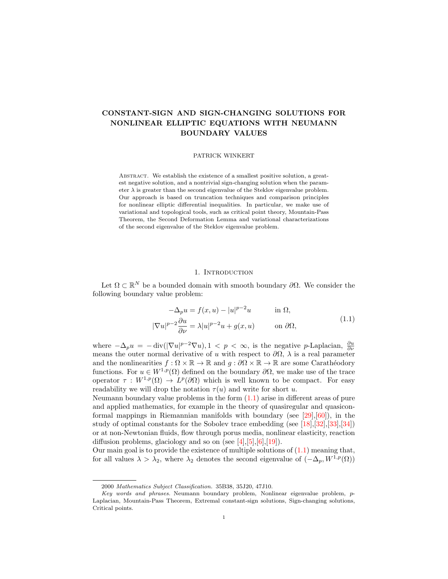# CONSTANT-SIGN AND SIGN-CHANGING SOLUTIONS FOR NONLINEAR ELLIPTIC EQUATIONS WITH NEUMANN BOUNDARY VALUES

## PATRICK WINKERT

Abstract. We establish the existence of a smallest positive solution, a greatest negative solution, and a nontrivial sign-changing solution when the parameter  $\lambda$  is greater than the second eigenvalue of the Steklov eigenvalue problem. Our approach is based on truncation techniques and comparison principles for nonlinear elliptic differential inequalities. In particular, we make use of variational and topological tools, such as critical point theory, Mountain-Pass Theorem, the Second Deformation Lemma and variational characterizations of the second eigenvalue of the Steklov eigenvalue problem.

# <span id="page-0-0"></span>1. INTRODUCTION

Let  $\Omega \subset \mathbb{R}^N$  be a bounded domain with smooth boundary  $\partial \Omega$ . We consider the following boundary value problem:

$$
-\Delta_p u = f(x, u) - |u|^{p-2}u \qquad \text{in } \Omega,
$$
  

$$
\nabla u|^{p-2} \frac{\partial u}{\partial \nu} = \lambda |u|^{p-2}u + g(x, u) \qquad \text{on } \partial\Omega,
$$
 (1.1)

where  $-\Delta_p u = -\operatorname{div}(|\nabla u|^{p-2} \nabla u)$ ,  $1 < p < \infty$ , is the negative p-Laplacian,  $\frac{\partial u}{\partial \nu}$ means the outer normal derivative of u with respect to  $\partial\Omega$ ,  $\lambda$  is a real parameter and the nonlinearities  $f : \Omega \times \mathbb{R} \to \mathbb{R}$  and  $q : \partial\Omega \times \mathbb{R} \to \mathbb{R}$  are some Carathéodory functions. For  $u \in W^{1,p}(\Omega)$  defined on the boundary  $\partial\Omega$ , we make use of the trace operator  $\tau: W^{1,p}(\Omega) \to L^p(\partial\Omega)$  which is well known to be compact. For easy readability we will drop the notation  $\tau(u)$  and write for short u.

Neumann boundary value problems in the form  $(1.1)$  arise in different areas of pure and applied mathematics, for example in the theory of quasiregular and quasiconformal mappings in Riemannian manifolds with boundary (see  $[29],[60]$  $[29],[60]$ ), in the study of optimal constants for the Sobolev trace embedding (see [\[18\]](#page-29-1),[\[32\]](#page-29-2),[\[33\]](#page-29-3),[\[34\]](#page-29-4)) or at non-Newtonian fluids, flow through porus media, nonlinear elasticity, reaction diffusion problems, glaciology and so on (see  $[4]$ ,  $[5]$ ,  $[6]$ ,  $[19]$ ).

Our main goal is to provide the existence of multiple solutions of  $(1.1)$  meaning that, for all values  $\lambda > \lambda_2$ , where  $\lambda_2$  denotes the second eigenvalue of  $(-\Delta_p, W^{1,p}(\Omega))$ 

 $\parallel$ 

<sup>2000</sup> Mathematics Subject Classification. 35B38, 35J20, 47J10.

Key words and phrases. Neumann boundary problem, Nonlinear eigenvalue problem, p-Laplacian, Mountain-Pass Theorem, Extremal constant-sign solutions, Sign-changing solutions, Critical points.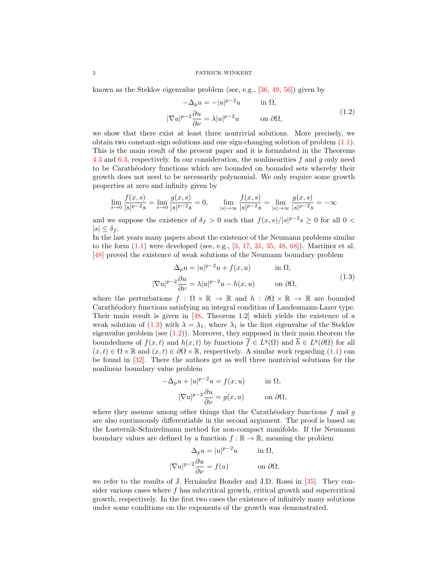known as the Steklov eigenvalue problem (see, e.g., [\[36,](#page-29-6) [49,](#page-30-1) [56\]](#page-30-2)) given by

<span id="page-1-1"></span>
$$
-\Delta_p u = -|u|^{p-2}u \qquad \text{in } \Omega,
$$
  

$$
|\nabla u|^{p-2} \frac{\partial u}{\partial \nu} = \lambda |u|^{p-2}u \qquad \text{on } \partial \Omega,
$$
 (1.2)

we show that there exist at least three nontrivial solutions. More precisely, we obtain two constant-sign solutions and one sign-changing solution of problem  $(1.1)$ . This is the main result of the present paper and it is formulated in the Theorems [4.3](#page-9-0) and [6.3,](#page-25-0) respectively. In our consideration, the nonlinearities f and g only need to be Carathéodory functions which are bounded on bounded sets whereby their growth does not need to be necessarily polynomial. We only require some growth properties at zero and infinity given by

$$
\lim_{s \to 0} \frac{f(x, s)}{|s|^{p-2}s} = \lim_{s \to 0} \frac{g(x, s)}{|s|^{p-2}s} = 0, \qquad \lim_{|s| \to \infty} \frac{f(x, s)}{|s|^{p-2}s} = \lim_{|s| \to \infty} \frac{g(x, s)}{|s|^{p-2}s} = -\infty
$$

and we suppose the existence of  $\delta_f > 0$  such that  $f(x, s)/|s|^{p-2} s \ge 0$  for all  $0 <$  $|s| \leq \delta_f$ .

In the last years many papers about the existence of the Neumann problems similar to the form  $(1.1)$  were developed (see, e.g.,  $[3, 17, 31, 35, 48, 68]$  $[3, 17, 31, 35, 48, 68]$  $[3, 17, 31, 35, 48, 68]$  $[3, 17, 31, 35, 48, 68]$  $[3, 17, 31, 35, 48, 68]$  $[3, 17, 31, 35, 48, 68]$  $[3, 17, 31, 35, 48, 68]$  $[3, 17, 31, 35, 48, 68]$  $[3, 17, 31, 35, 48, 68]$  $[3, 17, 31, 35, 48, 68]$ ). Martínez et al. [\[48\]](#page-30-3) proved the existence of weak solutions of the Neumann boundary problem

<span id="page-1-0"></span>
$$
\Delta_p u = |u|^{p-2}u + f(x, u) \quad \text{in } \Omega,
$$
  

$$
|\nabla u|^{p-2} \frac{\partial u}{\partial \nu} = \lambda |u|^{p-2}u - h(x, u) \quad \text{on } \partial \Omega,
$$
 (1.3)

where the perturbations  $f : \Omega \times \mathbb{R} \to \mathbb{R}$  and  $h : \partial \Omega \times \mathbb{R} \to \mathbb{R}$  are bounded Carathéodory functions satisfying an integral condition of Landesmann-Lazer type. Their main result is given in [\[48,](#page-30-3) Theorem 1.2] which yields the existence of a weak solution of [\(1.3\)](#page-1-0) with  $\lambda = \lambda_1$ , where  $\lambda_1$  is the first eigenvalue of the Steklov eigenvalue problem (see  $(1.2)$ ). Moreover, they supposed in their main theorem the boundedness of  $f(x,t)$  and  $h(x,t)$  by functions  $\overline{f} \in L^q(\Omega)$  and  $\overline{h} \in L^q(\partial\Omega)$  for all  $(x, t) \in \Omega \times \mathbb{R}$  and  $(x, t) \in \partial \Omega \times \mathbb{R}$ , respectively. A similar work regarding  $(1.1)$  can be found in [\[32\]](#page-29-2). There the authors get as well three nontrivial solutions for the nonlinear boundary value problem

$$
-\Delta_p u + |u|^{p-2}u = f(x, u) \quad \text{in } \Omega,
$$

$$
|\nabla u|^{p-2}\frac{\partial u}{\partial \nu} = g(x, u) \quad \text{on } \partial \Omega,
$$

where they assume among other things that the Carathéodory functions  $f$  and  $g$ are also continuously differentiable in the second argument. The proof is based on the Lusternik-Schnirelmann method for non-compact manifolds. If the Neumann boundary values are defined by a function  $f : \mathbb{R} \to \mathbb{R}$ , meaning the problem

$$
\Delta_p u = |u|^{p-2}u \quad \text{in } \Omega,
$$
  

$$
|\nabla u|^{p-2}\frac{\partial u}{\partial \nu} = f(u) \quad \text{on } \partial \Omega,
$$

we refer to the results of J. Fernández Bonder and J.D. Rossi in [\[35\]](#page-29-9). They consider various cases where  $f$  has subcritical growth, critical growth and supercritical growth, respectively. In the first two cases the existence of infinitely many solutions under some conditions on the exponents of the growth was demonstrated.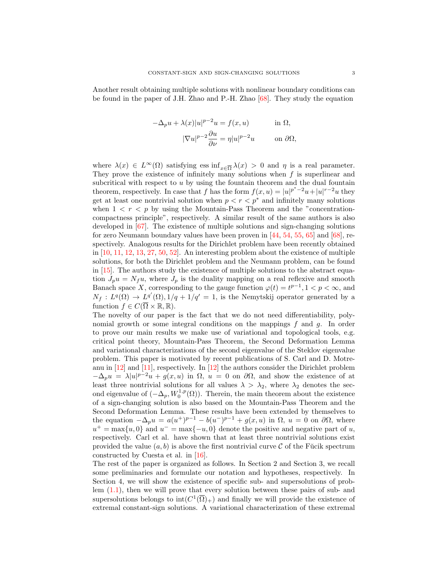Another result obtaining multiple solutions with nonlinear boundary conditions can be found in the paper of J.H. Zhao and P.-H. Zhao [\[68\]](#page-31-0). They study the equation

$$
-\Delta_p u + \lambda(x)|u|^{p-2}u = f(x, u) \quad \text{in } \Omega,
$$

$$
|\nabla u|^{p-2}\frac{\partial u}{\partial \nu} = \eta |u|^{p-2}u \quad \text{on } \partial \Omega,
$$

where  $\lambda(x) \in L^{\infty}(\Omega)$  satisfying ess  $\inf_{x \in \overline{\Omega}} \lambda(x) > 0$  and  $\eta$  is a real parameter. They prove the existence of infinitely many solutions when  $f$  is superlinear and subcritical with respect to u by using the fountain theorem and the dual fountain theorem, respectively. In case that f has the form  $f(x, u) = |u|^{p^* - 2}u + |u|^{r-2}u$  they get at least one nontrivial solution when  $p < r < p^*$  and infinitely many solutions when  $1 < r < p$  by using the Mountain-Pass Theorem and the "concentrationcompactness principle", respectively. A similar result of the same authors is also developed in [\[67\]](#page-31-1). The existence of multiple solutions and sign-changing solutions for zero Neumann boundary values have been proven in [\[44,](#page-30-4) [54,](#page-30-5) [55,](#page-30-6) [65\]](#page-31-2) and [\[68\]](#page-31-0), respectively. Analogous results for the Dirichlet problem have been recently obtained in  $[10, 11, 12, 13, 27, 50, 52]$  $[10, 11, 12, 13, 27, 50, 52]$  $[10, 11, 12, 13, 27, 50, 52]$  $[10, 11, 12, 13, 27, 50, 52]$  $[10, 11, 12, 13, 27, 50, 52]$  $[10, 11, 12, 13, 27, 50, 52]$  $[10, 11, 12, 13, 27, 50, 52]$  $[10, 11, 12, 13, 27, 50, 52]$  $[10, 11, 12, 13, 27, 50, 52]$  $[10, 11, 12, 13, 27, 50, 52]$  $[10, 11, 12, 13, 27, 50, 52]$  $[10, 11, 12, 13, 27, 50, 52]$ . An interesting problem about the existence of multiple solutions, for both the Dirichlet problem and the Neumann problem, can be found in [\[15\]](#page-29-13). The authors study the existence of multiple solutions to the abstract equation  $J_p u = N_f u$ , where  $J_p$  is the duality mapping on a real reflexive and smooth Banach space X, corresponding to the gauge function  $\varphi(t) = t^{p-1}, 1 \leq p \leq \infty$ , and  $N_f: L^q(\Omega) \to L^{q'}(\Omega), 1/q + 1/q' = 1$ , is the Nemytskij operator generated by a function  $f \in C(\overline{\Omega} \times \mathbb{R}, \mathbb{R})$ .

The novelty of our paper is the fact that we do not need differentiability, polynomial growth or some integral conditions on the mappings  $f$  and  $g$ . In order to prove our main results we make use of variational and topological tools, e.g. critical point theory, Mountain-Pass Theorem, the Second Deformation Lemma and variational characterizations of the second eigenvalue of the Steklov eigenvalue problem. This paper is motivated by recent publications of S. Carl and D. Motreanu in [\[12\]](#page-29-10) and [\[11\]](#page-28-5), respectively. In [\[12\]](#page-29-10) the authors consider the Dirichlet problem  $-\Delta_p u = \lambda |u|^{p-2}u + g(x, u)$  in  $\Omega$ ,  $u = 0$  on  $\partial\Omega$ , and show the existence of at least three nontrivial solutions for all values  $\lambda > \lambda_2$ , where  $\lambda_2$  denotes the second eigenvalue of  $(-\Delta_p, W_0^{1,p}(\Omega))$ . Therein, the main theorem about the existence of a sign-changing solution is also based on the Mountain-Pass Theorem and the Second Deformation Lemma. These results have been extended by themselves to the equation  $-\Delta_p u = a(u^+)^{p-1} - b(u^-)^{p-1} + g(x, u)$  in  $\Omega$ ,  $u = 0$  on  $\partial\Omega$ , where  $u^+ = \max\{u, 0\}$  and  $u^- = \max\{-u, 0\}$  denote the positive and negative part of u, respectively. Carl et al. have shown that at least three nontrivial solutions exist provided the value  $(a, b)$  is above the first nontrivial curve C of the Fucik spectrum constructed by Cuesta et al. in [\[16\]](#page-29-14).

The rest of the paper is organized as follows. In Section 2 and Section 3, we recall some preliminaries and formulate our notation and hypotheses, respectively. In Section 4, we will show the existence of specific sub- and supersolutions of problem [\(1.1\)](#page-0-0), then we will prove that every solution between these pairs of sub- and supersolutions belongs to  $\text{int}(C^1(\overline{\Omega})_+)$  and finally we will provide the existence of extremal constant-sign solutions. A variational characterization of these extremal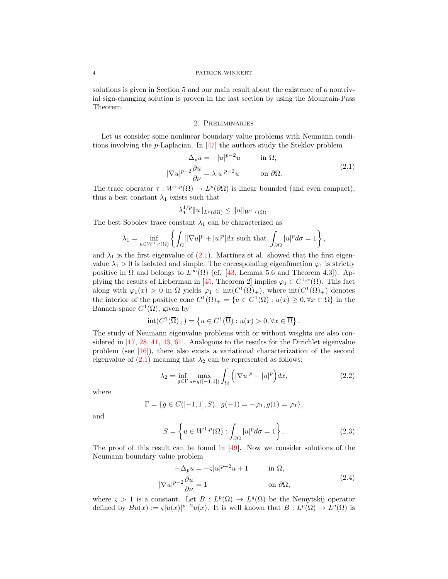solutions is given in Section 5 and our main result about the existence of a nontrivial sign-changing solution is proven in the last section by using the Mountain-Pass Theorem.

## <span id="page-3-0"></span>2. Preliminaries

Let us consider some nonlinear boundary value problems with Neumann conditions involving the p-Laplacian. In [\[47\]](#page-30-9) the authors study the Steklov problem

$$
-\Delta_p u = -|u|^{p-2}u \qquad \text{in } \Omega,
$$
  

$$
|\nabla u|^{p-2} \frac{\partial u}{\partial \nu} = \lambda |u|^{p-2}u \qquad \text{on } \partial \Omega.
$$
 (2.1)

The trace operator  $\tau: W^{1,p}(\Omega) \to L^p(\partial\Omega)$  is linear bounded (and even compact), thus a best constant  $\lambda_1$  exists such that

$$
\lambda_1^{1/p} \|u\|_{L^p(\partial\Omega)} \le \|u\|_{W^{1,p}(\Omega)}.
$$

The best Sobolev trace constant  $\lambda_1$  can be characterized as

$$
\lambda_1 = \inf_{u \in W^{1,p}(\Omega)} \left\{ \int_{\Omega} [|\nabla u|^p + |u|^p] dx \text{ such that } \int_{\partial \Omega} |u|^p d\sigma = 1 \right\},\
$$

and  $\lambda_1$  is the first eigenvalue of [\(2.1\)](#page-3-0). Martinez et al. showed that the first eigenvalue  $\lambda_1 > 0$  is isolated and simple. The corresponding eigenfunction  $\varphi_1$  is strictly positive in  $\overline{\Omega}$  and belongs to  $L^{\infty}(\Omega)$  (cf. [\[43,](#page-30-10) Lemma 5.6 and Theorem 4.3]). Ap-plying the results of Lieberman in [\[45,](#page-30-11) Theorem 2] implies  $\varphi_1 \in C^{1,\alpha}(\overline{\Omega})$ . This fact along with  $\varphi_1(x) > 0$  in  $\overline{\Omega}$  yields  $\varphi_1 \in \text{int}(C^1(\overline{\Omega})_+)$ , where  $\text{int}(C^1(\overline{\Omega})_+)$  denotes the interior of the positive cone  $C^1(\overline{\Omega})_+ = \{u \in C^1(\overline{\Omega}) : u(x) \geq 0, \forall x \in \Omega\}$  in the Banach space  $C^1(\overline{\Omega})$ , given by

$$
int(C^{1}(\overline{\Omega})_{+}) = \left\{ u \in C^{1}(\overline{\Omega}) : u(x) > 0, \forall x \in \overline{\Omega} \right\}.
$$

The study of Neumann eigenvalue problems with or without weights are also considered in [\[17,](#page-29-7) [28,](#page-29-15) [41,](#page-30-12) [43,](#page-30-10) [61\]](#page-30-13). Analogous to the results for the Dirichlet eigenvalue problem (see [\[16\]](#page-29-14)), there also exists a variational characterization of the second eigenvalue of  $(2.1)$  meaning that  $\lambda_2$  can be represented as follows:

<span id="page-3-2"></span>
$$
\lambda_2 = \inf_{g \in \Gamma} \max_{u \in g([-1,1])} \int_{\Omega} \left( |\nabla u|^p + |u|^p \right) dx, \tag{2.2}
$$

where

$$
\Gamma = \{ g \in C([-1, 1], S) \mid g(-1) = -\varphi_1, g(1) = \varphi_1 \},\
$$

and

<span id="page-3-3"></span>
$$
S = \left\{ u \in W^{1,p}(\Omega) : \int_{\partial \Omega} |u|^p d\sigma = 1 \right\}.
$$
 (2.3)

The proof of this result can be found in  $[49]$ . Now we consider solutions of the Neumann boundary value problem

<span id="page-3-1"></span>
$$
-\Delta_p u = -\varsigma |u|^{p-2}u + 1 \qquad \text{in } \Omega,
$$
  

$$
|\nabla u|^{p-2} \frac{\partial u}{\partial \nu} = 1 \qquad \text{on } \partial \Omega,
$$
 (2.4)

where  $\varsigma > 1$  is a constant. Let  $B: L^p(\Omega) \to L^q(\Omega)$  be the Nemytskij operator defined by  $Bu(x) := \varsigma |u(x)|^{p-2}u(x)$ . It is well known that  $B: L^p(\Omega) \to L^q(\Omega)$  is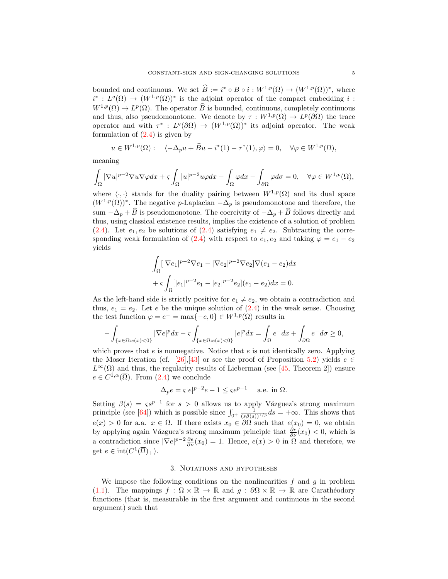bounded and continuous. We set  $\widehat{B} := i^* \circ B \circ i : W^{1,p}(\Omega) \to (W^{1,p}(\Omega))^*$ , where  $i^*: L^q(\Omega) \to (W^{1,p}(\Omega))^*$  is the adjoint operator of the compact embedding i:  $W^{1,p}(\Omega) \to L^p(\Omega)$ . The operator  $\widehat{B}$  is bounded, continuous, completely continuous and thus, also pseudomonotone. We denote by  $\tau: W^{1,p}(\Omega) \to L^p(\partial\Omega)$  the trace operator and with  $\tau^*: L^q(\partial\Omega) \to (W^{1,p}(\Omega))^*$  its adjoint operator. The weak formulation of  $(2.4)$  is given by

$$
u \in W^{1,p}(\Omega): \quad \langle -\Delta_p u + \widehat{B}u - i^*(1) - \tau^*(1), \varphi \rangle = 0, \quad \forall \varphi \in W^{1,p}(\Omega),
$$

meaning

$$
\int_{\Omega}|\nabla u|^{p-2}\nabla u\nabla \varphi dx+\varsigma \int_{\Omega}|u|^{p-2}u\varphi dx-\int_{\Omega}\varphi dx-\int_{\partial\Omega}\varphi d\sigma=0,\quad \forall \varphi\in W^{1,p}(\Omega),
$$

where  $\langle \cdot, \cdot \rangle$  stands for the duality pairing between  $W^{1,p}(\Omega)$  and its dual space  $(W^{1,p}(\Omega))^*$ . The negative p-Laplacian  $-\Delta_p$  is pseudomonotone and therefore, the sum  $-\Delta_p + \widehat{B}$  is pseudomonotone. The coercivity of  $-\Delta_p + \widehat{B}$  follows directly and thus, using classical existence results, implies the existence of a solution of problem [\(2.4\)](#page-3-1). Let  $e_1, e_2$  be solutions of [\(2.4\)](#page-3-1) satisfying  $e_1 \neq e_2$ . Subtracting the corre-sponding weak formulation of [\(2.4\)](#page-3-1) with respect to  $e_1, e_2$  and taking  $\varphi = e_1 - e_2$ yields

$$
\int_{\Omega} [|\nabla e_1|^{p-2} \nabla e_1 - |\nabla e_2|^{p-2} \nabla e_2] \nabla (e_1 - e_2) dx
$$
  
+  $\zeta \int_{\Omega} [|e_1|^{p-2} e_1 - |e_2|^{p-2} e_2] (e_1 - e_2) dx = 0.$ 

As the left-hand side is strictly positive for  $e_1 \neq e_2$ , we obtain a contradiction and thus,  $e_1 = e_2$ . Let e be the unique solution of  $(2.4)$  in the weak sense. Choosing the test function  $\varphi = e^- = \max\{-e, 0\} \in W^{1,p}(\Omega)$  results in

$$
-\int_{\{x\in\Omega:e(x)<0\}}|\nabla e|^pdx-\varsigma\int_{\{x\in\Omega:e(x)<0\}}|e|^pdx=\int_{\Omega}e^-dx+\int_{\partial\Omega}e^-d\sigma\geq 0,
$$

which proves that  $e$  is nonnegative. Notice that  $e$  is not identically zero. Applying the Moser Iteration (cf. [\[26\]](#page-29-16),[\[43\]](#page-30-10) or see the proof of Proposition [5.2\)](#page-14-0) yields  $e \in$  $L^{\infty}(\Omega)$  and thus, the regularity results of Lieberman (see [\[45,](#page-30-11) Theorem 2]) ensure  $e \in C^{1,\alpha}(\overline{\Omega})$ . From  $(2.4)$  we conclude

$$
\Delta_p e = \varsigma |e|^{p-2} e - 1 \le \varsigma e^{p-1} \quad \text{ a.e. in } \Omega.
$$

Setting  $\beta(s) = \zeta s^{p-1}$  for  $s > 0$  allows us to apply Vázguez's strong maximum principle (see [\[64\]](#page-31-3)) which is possible since  $\int_{0^+} \frac{1}{(s\beta(s))^{1/p}} ds = +\infty$ . This shows that  $e(x) > 0$  for a.a.  $x \in \Omega$ . If there exists  $x_0 \in \partial \Omega$  such that  $e(x_0) = 0$ , we obtain by applying again Vázguez's strong maximum principle that  $\frac{\partial e}{\partial \nu}(x_0) < 0$ , which is a contradiction since  $|\nabla e|^{p-2}\frac{\partial e}{\partial \nu}(x_0)=1$ . Hence,  $e(x)>0$  in  $\overline{\Omega}$  and therefore, we get  $e \in \text{int}(C^1(\overline{\Omega})_+).$ 

### 3. Notations and hypotheses

We impose the following conditions on the nonlinearities  $f$  and  $g$  in problem [\(1.1\)](#page-0-0). The mappings  $f : \Omega \times \mathbb{R} \to \mathbb{R}$  and  $g : \partial \Omega \times \mathbb{R} \to \mathbb{R}$  are Carathéodory functions (that is, measurable in the first argument and continuous in the second argument) such that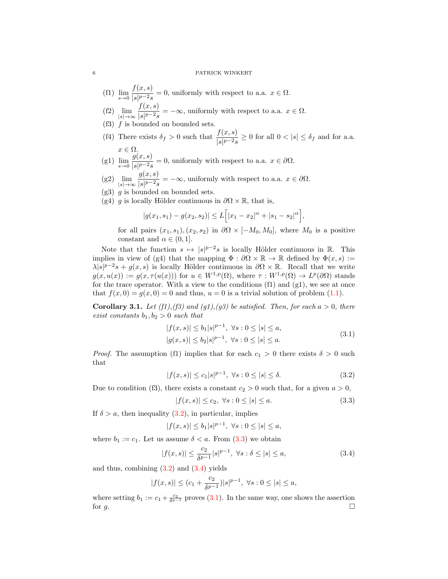- (f1)  $\lim_{s \to 0} \frac{f(x, s)}{|s|^{p-2} s}$  $\frac{\partial f(x, y)}{\partial s|p-2s} = 0$ , uniformly with respect to a.a.  $x \in \Omega$ .
- $(f2)$   $\lim_{|s|\to\infty}$  $f(x, s)$  $\frac{\partial f(x, y)}{\partial |s|^{p-2}s} = -\infty$ , uniformly with respect to a.a.  $x \in \Omega$ .
- (f3)  $f$  is bounded on bounded sets.
- (f4) There exists  $\delta_f > 0$  such that  $\frac{f(x, s)}{|s|^{p-2} s} \ge 0$  for all  $0 < |s| \le \delta_f$  and for a.a.  $x \in \Omega$ .
- (g1)  $\lim_{s \to 0} \frac{g(x, s)}{|s|^{p-2} s}$  $\frac{g(x, b)}{|s|^{p-2}s} = 0$ , uniformly with respect to a.a.  $x \in \partial\Omega$ .
- $(g2)$   $\lim_{|s|\to\infty}$  $g(x, s)$  $\frac{g(x, \sigma)}{|s|^{p-2}s} = -\infty$ , uniformly with respect to a.a.  $x \in \partial\Omega$ .
- $(g3)$  g is bounded on bounded sets.
- (g4) g is locally Hölder continuous in  $\partial\Omega \times \mathbb{R}$ , that is,

$$
|g(x_1, s_1) - g(x_2, s_2)| \le L\Big[|x_1 - x_2|^{\alpha} + |s_1 - s_2|^{\alpha}\Big],
$$

for all pairs  $(x_1, s_1), (x_2, s_2)$  in  $\partial\Omega \times [-M_0, M_0]$ , where  $M_0$  is a positive constant and  $\alpha \in (0,1]$ .

Note that the function  $s \mapsto |s|^{p-2} s$  is locally Hölder continuous in R. This implies in view of (g4) that the mapping  $\Phi : \partial\Omega \times \mathbb{R} \to \mathbb{R}$  defined by  $\Phi(x, s) :=$  $\lambda |s|^{p-2}s + g(x, s)$  is locally Hölder continuous in  $\partial \Omega \times \mathbb{R}$ . Recall that we write  $g(x, u(x)) := g(x, \tau(u(x)))$  for  $u \in W^{1,p}(\Omega)$ , where  $\tau : W^{1,p}(\Omega) \to L^p(\partial\Omega)$  stands for the trace operator. With a view to the conditions  $(f1)$  and  $(g1)$ , we see at once that  $f(x, 0) = q(x, 0) = 0$  and thus,  $u = 0$  is a trivial solution of problem [\(1.1\)](#page-0-0).

<span id="page-5-4"></span>**Corollary 3.1.** Let (f1),(f3) and (g1),(g3) be satisfied. Then, for each  $a > 0$ , there exist constants  $b_1, b_2 > 0$  such that

<span id="page-5-3"></span>
$$
|f(x,s)| \le b_1 |s|^{p-1}, \ \forall s : 0 \le |s| \le a,
$$
  

$$
|g(x,s)| \le b_2 |s|^{p-1}, \ \forall s : 0 \le |s| \le a.
$$
 (3.1)

*Proof.* The assumption (f1) implies that for each  $c_1 > 0$  there exists  $\delta > 0$  such that

$$
|f(x,s)| \le c_1 |s|^{p-1}, \ \forall s : 0 \le |s| \le \delta. \tag{3.2}
$$

Due to condition (f3), there exists a constant  $c_2 > 0$  such that, for a given  $a > 0$ ,

<span id="page-5-2"></span><span id="page-5-1"></span><span id="page-5-0"></span>
$$
|f(x,s)| \le c_2, \ \forall s : 0 \le |s| \le a. \tag{3.3}
$$

If  $\delta > a$ , then inequality [\(3.2\)](#page-5-0), in particular, implies

$$
|f(x,s)| \le b_1 |s|^{p-1}, \ \forall s: 0 \le |s| \le a,
$$

where  $b_1 := c_1$ . Let us assume  $\delta < a$ . From  $(3.3)$  we obtain

$$
|f(x,s)| \le \frac{c_2}{\delta^{p-1}} |s|^{p-1}, \ \forall s : \delta \le |s| \le a,
$$
\n(3.4)

and thus, combining  $(3.2)$  and  $(3.4)$  yields

$$
|f(x,s)|\leq (c_1+\frac{c_2}{\delta^{p-1}})|s|^{p-1},\ \forall s:0\leq |s|\leq a,
$$

where setting  $b_1 := c_1 + \frac{c_2}{\delta^{p-1}}$  proves [\(3.1\)](#page-5-3). In the same way, one shows the assertion for  $g$ .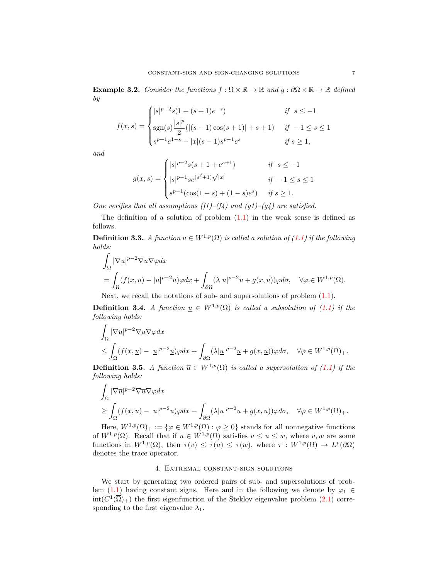**Example 3.2.** Consider the functions  $f : \Omega \times \mathbb{R} \to \mathbb{R}$  and  $g : \partial \Omega \times \mathbb{R} \to \mathbb{R}$  defined by

$$
f(x,s) = \begin{cases} |s|^{p-2}s(1+(s+1)e^{-s}) & \text{if } s \le -1\\ \text{sgn}(s)\frac{|s|^p}{2}(|(s-1)\cos(s+1)|+s+1) & \text{if } -1 \le s \le 1\\ s^{p-1}e^{1-s}-|x|(s-1)s^{p-1}e^s & \text{if } s \ge 1, \end{cases}
$$

and

$$
g(x,s) = \begin{cases} |s|^{p-2}s(s+1+e^{s+1}) & \text{if } s \le -1\\ |s|^{p-1}se^{(s^2+1)\sqrt{|x|}} & \text{if } -1 \le s \le 1\\ s^{p-1}(\cos(1-s)+(1-s)e^s) & \text{if } s \ge 1. \end{cases}
$$

One verifies that all assumptions (f1)–(f4) and (g1)–(g4) are satisfied.

The definition of a solution of problem  $(1.1)$  in the weak sense is defined as follows.

<span id="page-6-2"></span>**Definition 3.3.** A function  $u \in W^{1,p}(\Omega)$  is called a solution of [\(1.1\)](#page-0-0) if the following holds:

$$
\int_{\Omega} |\nabla u|^{p-2} \nabla u \nabla \varphi dx
$$
\n
$$
= \int_{\Omega} (f(x, u) - |u|^{p-2} u) \varphi dx + \int_{\partial \Omega} (\lambda |u|^{p-2} u + g(x, u)) \varphi d\sigma, \quad \forall \varphi \in W^{1, p}(\Omega).
$$

Next, we recall the notations of sub- and supersolutions of problem  $(1.1)$ .

<span id="page-6-0"></span>**Definition 3.4.** A function  $\underline{u} \in W^{1,p}(\Omega)$  is called a subsolution of [\(1.1\)](#page-0-0) if the following holds:

$$
\int_{\Omega} |\nabla \underline{u}|^{p-2} \nabla \underline{u} \nabla \varphi dx
$$
\n
$$
\leq \int_{\Omega} (f(x, \underline{u}) - |\underline{u}|^{p-2} \underline{u}) \varphi dx + \int_{\partial \Omega} (\lambda |\underline{u}|^{p-2} \underline{u} + g(x, \underline{u})) \varphi d\sigma, \quad \forall \varphi \in W^{1, p}(\Omega) + \infty
$$

<span id="page-6-1"></span>**Definition 3.5.** A function  $\overline{u} \in W^{1,p}(\Omega)$  is called a supersolution of [\(1.1\)](#page-0-0) if the following holds:

$$
\int_{\Omega} |\nabla \overline{u}|^{p-2} \nabla \overline{u} \nabla \varphi dx
$$
\n
$$
\geq \int_{\Omega} (f(x,\overline{u}) - |\overline{u}|^{p-2} \overline{u}) \varphi dx + \int_{\partial \Omega} (\lambda |\overline{u}|^{p-2} \overline{u} + g(x,\overline{u})) \varphi d\sigma, \quad \forall \varphi \in W^{1,p}(\Omega)_{+}.
$$

Here,  $W^{1,p}(\Omega)_+ := \{ \varphi \in W^{1,p}(\Omega) : \varphi \geq 0 \}$  stands for all nonnegative functions of  $W^{1,p}(\Omega)$ . Recall that if  $u \in W^{1,p}(\Omega)$  satisfies  $v \leq u \leq w$ , where v, w are some functions in  $W^{1,p}(\Omega)$ , then  $\tau(v) \leq \tau(u) \leq \tau(w)$ , where  $\tau : W^{1,p}(\Omega) \to L^p(\partial\Omega)$ denotes the trace operator.

### 4. Extremal constant-sign solutions

We start by generating two ordered pairs of sub- and supersolutions of prob-lem [\(1.1\)](#page-0-0) having constant signs. Here and in the following we denote by  $\varphi_1 \in$  $\text{int}(C^1(\overline{\Omega})_+)$  the first eigenfunction of the Steklov eigenvalue problem [\(2.1\)](#page-3-0) corresponding to the first eigenvalue  $\lambda_1$ .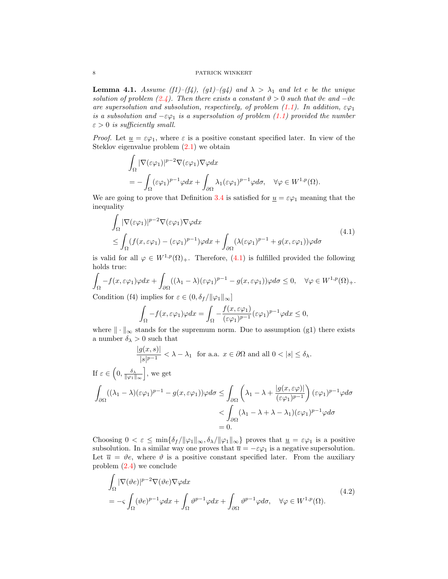<span id="page-7-2"></span>**Lemma 4.1.** Assume (f1)–(f4), (g1)–(g4) and  $\lambda > \lambda_1$  and let e be the unique solution of problem [\(2.4\)](#page-3-1). Then there exists a constant  $\vartheta > 0$  such that  $\vartheta e$  and  $-\vartheta e$ are supersolution and subsolution, respectively, of problem [\(1.1\)](#page-0-0). In addition,  $\epsilon\varphi_1$ is a subsolution and  $-\varepsilon\varphi_1$  is a supersolution of problem [\(1.1\)](#page-0-0) provided the number  $\varepsilon > 0$  is sufficiently small.

*Proof.* Let  $\underline{u} = \varepsilon \varphi_1$ , where  $\varepsilon$  is a positive constant specified later. In view of the Steklov eigenvalue problem [\(2.1\)](#page-3-0) we obtain

$$
\int_{\Omega} |\nabla(\varepsilon \varphi_1)|^{p-2} \nabla(\varepsilon \varphi_1) \nabla \varphi dx
$$
  
= 
$$
- \int_{\Omega} (\varepsilon \varphi_1)^{p-1} \varphi dx + \int_{\partial \Omega} \lambda_1 (\varepsilon \varphi_1)^{p-1} \varphi d\sigma, \quad \forall \varphi \in W^{1,p}(\Omega).
$$

We are going to prove that Definition [3.4](#page-6-0) is satisfied for  $u = \varepsilon \varphi_1$  meaning that the inequality

$$
\int_{\Omega} |\nabla(\varepsilon \varphi_1)|^{p-2} \nabla(\varepsilon \varphi_1) \nabla \varphi dx
$$
\n
$$
\leq \int_{\Omega} (f(x, \varepsilon \varphi_1) - (\varepsilon \varphi_1)^{p-1}) \varphi dx + \int_{\partial \Omega} (\lambda(\varepsilon \varphi_1)^{p-1} + g(x, \varepsilon \varphi_1)) \varphi d\sigma
$$
\n(4.1)

is valid for all  $\varphi \in W^{1,p}(\Omega)_+$ . Therefore, [\(4.1\)](#page-7-0) is fulfilled provided the following holds true:

$$
\int_{\Omega} -f(x,\varepsilon\varphi_1)\varphi dx + \int_{\partial\Omega} ((\lambda_1 - \lambda)(\varepsilon\varphi_1)^{p-1} - g(x,\varepsilon\varphi_1))\varphi d\sigma \leq 0, \quad \forall \varphi \in W^{1,p}(\Omega)_+.
$$

Condition (f4) implies for  $\varepsilon \in (0, \delta_f / ||\varphi_1||_{\infty}]$ 

<span id="page-7-0"></span>
$$
\int_{\Omega} -f(x,\varepsilon\varphi_1)\varphi dx = \int_{\Omega} -\frac{f(x,\varepsilon\varphi_1)}{(\varepsilon\varphi_1)^{p-1}}(\varepsilon\varphi_1)^{p-1}\varphi dx \le 0,
$$

where  $\|\cdot\|_{\infty}$  stands for the supremum norm. Due to assumption (g1) there exists a number  $\delta_{\lambda} > 0$  such that

$$
\frac{|g(x,s)|}{|s|^{p-1}} < \lambda - \lambda_1 \text{ for a.a. } x \in \partial\Omega \text{ and all } 0 < |s| \le \delta_{\lambda}.
$$
  
If  $\varepsilon \in \left(0, \frac{\delta_{\lambda}}{\|\varphi_1\|_{\infty}}\right]$ , we get  

$$
\int_{\partial\Omega} ((\lambda_1 - \lambda)(\varepsilon\varphi_1)^{p-1} - g(x, \varepsilon\varphi_1))\varphi d\sigma \le \int_{\partial\Omega} \left(\lambda_1 - \lambda + \frac{|g(x, \varepsilon\varphi)|}{(\varepsilon\varphi_1)^{p-1}}\right) (\varepsilon\varphi_1)^{p-1}\varphi d\sigma
$$

$$
< \int_{\partial\Omega} (\lambda_1 - \lambda + \lambda - \lambda_1)(\varepsilon\varphi_1)^{p-1}\varphi d\sigma
$$

$$
= 0.
$$

Choosing  $0 < \varepsilon \le \min{\{\delta_f / ||\varphi_1||_\infty, \delta_\lambda / ||\varphi_1||_\infty\}}$  proves that  $\underline{u} = \varepsilon \varphi_1$  is a positive subsolution. In a similar way one proves that  $\overline{u} = -\varepsilon \varphi_1$  is a negative supersolution. Let  $\bar{u} = \vartheta e$ , where  $\vartheta$  is a positive constant specified later. From the auxiliary problem [\(2.4\)](#page-3-1) we conclude

<span id="page-7-1"></span>
$$
\int_{\Omega} |\nabla(\vartheta e)|^{p-2} \nabla(\vartheta e) \nabla \varphi dx
$$
\n
$$
= -\varsigma \int_{\Omega} (\vartheta e)^{p-1} \varphi dx + \int_{\Omega} \vartheta^{p-1} \varphi dx + \int_{\partial \Omega} \vartheta^{p-1} \varphi d\sigma, \quad \forall \varphi \in W^{1,p}(\Omega). \tag{4.2}
$$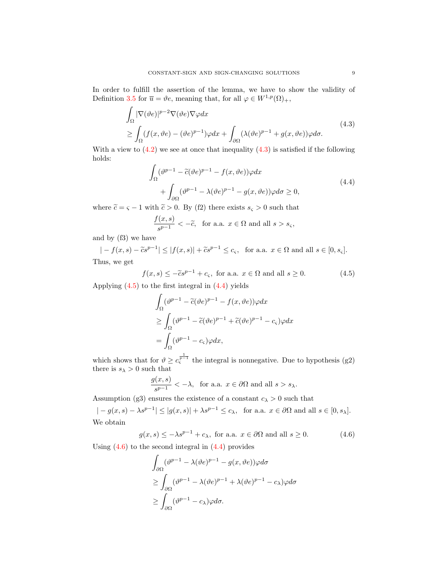In order to fulfill the assertion of the lemma, we have to show the validity of Definition [3.5](#page-6-1) for  $\overline{u} = \vartheta e$ , meaning that, for all  $\varphi \in W^{1,p}(\Omega)_+$ ,

$$
\int_{\Omega} |\nabla(\vartheta e)|^{p-2} \nabla(\vartheta e) \nabla \varphi dx
$$
\n
$$
\geq \int_{\Omega} (f(x, \vartheta e) - (\vartheta e)^{p-1}) \varphi dx + \int_{\partial \Omega} (\lambda (\vartheta e)^{p-1} + g(x, \vartheta e)) \varphi d\sigma.
$$
\n(4.3)

With a view to  $(4.2)$  we see at once that inequality  $(4.3)$  is satisfied if the following holds:

<span id="page-8-0"></span>
$$
\int_{\Omega} (\vartheta^{p-1} - \tilde{c}(\vartheta e)^{p-1} - f(x, \vartheta e))\varphi dx \n+ \int_{\partial\Omega} (\vartheta^{p-1} - \lambda(\vartheta e)^{p-1} - g(x, \vartheta e))\varphi d\sigma \ge 0,
$$
\n(4.4)

where  $\tilde{c} = \varsigma - 1$  with  $\tilde{c} > 0$ . By (f2) there exists  $s_{\varsigma} > 0$  such that

<span id="page-8-2"></span>
$$
\frac{f(x,s)}{s^{p-1}} < -\tilde{c}, \text{ for a.a. } x \in \Omega \text{ and all } s > s_{\varsigma},
$$

and by (f3) we have

$$
|-f(x,s)-\tilde{c}s^{p-1}| \leq |f(x,s)|+\tilde{c}s^{p-1} \leq c_{\varsigma}, \text{ for a.a. } x \in \Omega \text{ and all } s \in [0, s_{\varsigma}].
$$
  
Thus, we get

$$
f(x,s) \le -\tilde{c}s^{p-1} + c_{\varsigma}, \text{ for a.a. } x \in \Omega \text{ and all } s \ge 0.
$$
 (4.5)

Applying  $(4.5)$  to the first integral in  $(4.4)$  yields

<span id="page-8-1"></span>
$$
\int_{\Omega} (\vartheta^{p-1} - \tilde{c}(\vartheta e)^{p-1} - f(x, \vartheta e))\varphi dx
$$
\n
$$
\geq \int_{\Omega} (\vartheta^{p-1} - \tilde{c}(\vartheta e)^{p-1} + \tilde{c}(\vartheta e)^{p-1} - c_{\varsigma})\varphi dx
$$
\n
$$
= \int_{\Omega} (\vartheta^{p-1} - c_{\varsigma})\varphi dx,
$$

which shows that for  $\vartheta \geq c_{\varsigma}^{\frac{1}{p-1}}$  the integral is nonnegative. Due to hypothesis (g2) there is  $s_{\lambda} > 0$  such that

$$
\frac{g(x,s)}{s^{p-1}} < -\lambda, \text{ for a.a. } x \in \partial\Omega \text{ and all } s > s_{\lambda}.
$$

Assumption (g3) ensures the existence of a constant  $c_{\lambda} > 0$  such that

 $|-g(x, s) - \lambda s^{p-1}| \leq |g(x, s)| + \lambda s^{p-1} \leq c_{\lambda}, \text{ for a.a. } x \in \partial\Omega \text{ and all } s \in [0, s_{\lambda}].$ We obtain

$$
g(x, s) \le -\lambda s^{p-1} + c_{\lambda}
$$
, for a.a.  $x \in \partial\Omega$  and all  $s \ge 0$ . (4.6)

Using  $(4.6)$  to the second integral in  $(4.4)$  provides

<span id="page-8-3"></span>
$$
\int_{\partial\Omega} (\vartheta^{p-1} - \lambda(\vartheta e)^{p-1} - g(x, \vartheta e))\varphi d\sigma
$$
\n
$$
\geq \int_{\partial\Omega} (\vartheta^{p-1} - \lambda(\vartheta e)^{p-1} + \lambda(\vartheta e)^{p-1} - c_{\lambda})\varphi d\sigma
$$
\n
$$
\geq \int_{\partial\Omega} (\vartheta^{p-1} - c_{\lambda})\varphi d\sigma.
$$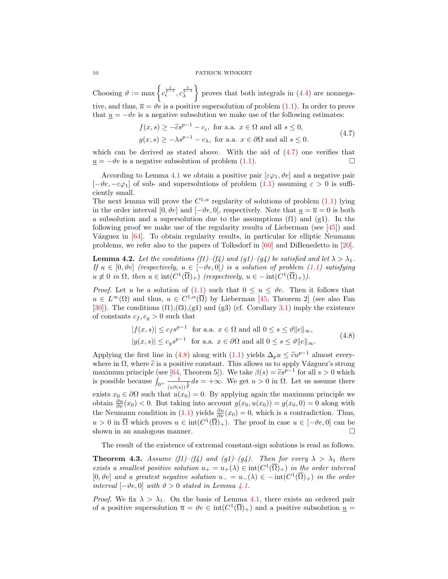Choosing  $\vartheta := \max \left\{ c_{\varsigma}^{\frac{1}{p-1}} , c_{\lambda}^{\frac{1}{p-1}} \right\}$  $\}$  proves that both integrals in  $(4.4)$  are nonnegative, and thus,  $\overline{u} = \vartheta e$  is a positive supersolution of problem [\(1.1\)](#page-0-0). In order to prove that  $\underline{u} = -\vartheta e$  is a negative subsolution we make use of the following estimates:

<span id="page-9-1"></span>
$$
f(x,s) \ge -\tilde{c}s^{p-1} - c_{\varsigma}, \text{ for a.a. } x \in \Omega \text{ and all } s \le 0,
$$
  

$$
g(x,s) \ge -\lambda s^{p-1} - c_{\lambda}, \text{ for a.a. } x \in \partial\Omega \text{ and all } s \le 0.
$$
 (4.7)

which can be derived as stated above. With the aid of  $(4.7)$  one verifies that  $u = -\vartheta e$  is a negative subsolution of problem [\(1.1\)](#page-0-0).

According to Lemma [4.1](#page-7-2) we obtain a positive pair  $[\varepsilon\varphi_1, \vartheta_1]$  and a negative pair  $[-\vartheta e, -\varepsilon \varphi_1]$  of sub- and supersolutions of problem  $(1.1)$  assuming  $\varepsilon > 0$  is sufficiently small.

The next lemma will prove the  $C^{1,\alpha}$  regularity of solutions of problem  $(1.1)$  lying in the order interval [0,  $\vartheta e$ ] and  $[-\vartheta e, 0]$ , respectively. Note that  $u = \overline{u} = 0$  is both a subsolution and a supersolution due to the assumptions  $(f1)$  and  $(g1)$ . In the following proof we make use of the regularity results of Lieberman (see  $[45]$ ) and Vázguez in  $[64]$ . To obtain regularity results, in particular for elliptic Neumann problems, we refer also to the papers of Tolksdorf in [\[60\]](#page-30-0) and DiBenedetto in [\[20\]](#page-29-17).

<span id="page-9-3"></span>**Lemma 4.2.** Let the conditions (f1)–(f4) and (g1)–(g4) be satisfied and let  $\lambda > \lambda_1$ . If  $u \in [0, \vartheta e]$  (respectively,  $u \in [-\vartheta e, 0]$ ) is a solution of problem [\(1.1\)](#page-0-0) satisfying  $u \not\equiv 0$  in  $\Omega$ , then  $u \in \text{int}(C^1(\overline{\Omega})_+)$  (respectively,  $u \in -\text{int}(C^1(\overline{\Omega})_+)$ ).

*Proof.* Let u be a solution of [\(1.1\)](#page-0-0) such that  $0 \le u \le \vartheta e$ . Then it follows that  $u \in L^{\infty}(\Omega)$  and thus,  $u \in C^{1,\alpha}(\overline{\Omega})$  by Lieberman [\[45,](#page-30-11) Theorem 2] (see also Fan [\[30\]](#page-29-18)). The conditions  $(f1), (f3), (g1)$  and  $(g3)$  (cf. Corollary [3.1\)](#page-5-4) imply the existence of constants  $c_f, c_g > 0$  such that

<span id="page-9-2"></span>
$$
|f(x,s)| \le c_f s^{p-1} \text{ for a.a. } x \in \Omega \text{ and all } 0 \le s \le \vartheta \|e\|_{\infty},
$$
  

$$
|g(x,s)| \le c_g s^{p-1} \text{ for a.a. } x \in \partial\Omega \text{ and all } 0 \le s \le \vartheta \|e\|_{\infty}.
$$
 (4.8)

Applying the first line in [\(4.8\)](#page-9-2) along with [\(1.1\)](#page-0-0) yields  $\Delta_p u \leq \tilde{c}u^{p-1}$  almost everywhere in  $\Omega$ , where  $\tilde{c}$  is a positive constant. This allows us to apply Vázguez's strong maximum principle (see [\[64,](#page-31-3) Theorem 5]). We take  $\beta(s) = \tilde{c}s^{p-1}$  for all  $s > 0$  which is possible because  $\int_{0^+} \frac{1}{\sqrt{e^{\theta}}}$  $\frac{1}{(s\beta(s))^{\frac{1}{p}}}ds = +\infty$ . We get  $u > 0$  in  $\Omega$ . Let us assume there exists  $x_0 \in \partial\Omega$  such that  $u(x_0) = 0$ . By applying again the maximum principle we obtain  $\frac{\partial u}{\partial \nu}(x_0) < 0$ . But taking into account  $g(x_0, u(x_0)) = g(x_0, 0) = 0$  along with the Neumann condition in [\(1.1\)](#page-0-0) yields  $\frac{\partial u}{\partial \nu}(x_0) = 0$ , which is a contradiction. Thus,  $u > 0$  in  $\overline{\Omega}$  which proves  $u \in \text{int}(C^1(\overline{\Omega})_+)$ . The proof in case  $u \in [-\vartheta_e, 0]$  can be shown in an analogous manner.  $\square$ 

The result of the existence of extremal constant-sign solutions is read as follows.

<span id="page-9-0"></span>**Theorem 4.3.** Assume (f1)–(f4) and (g1)–(g4). Then for every  $\lambda > \lambda_1$  there exists a smallest positive solution  $u_+ = u_+(\lambda) \in \text{int}(C^1(\overline{\Omega})_+)$  in the order interval [0, ve] and a greatest negative solution  $u_ - = u_-(\lambda) \in -\text{int}(C^1(\overline{\Omega})_+)$  in the order interval  $[-\vartheta_e, 0]$  with  $\vartheta > 0$  stated in Lemma [4.1.](#page-7-2)

*Proof.* We fix  $\lambda > \lambda_1$ . On the basis of Lemma [4.1,](#page-7-2) there exists an ordered pair of a positive supersolution  $\overline{u} = \vartheta e \in \text{int}(C^1(\overline{\Omega})_+)$  and a positive subsolution  $\underline{u} =$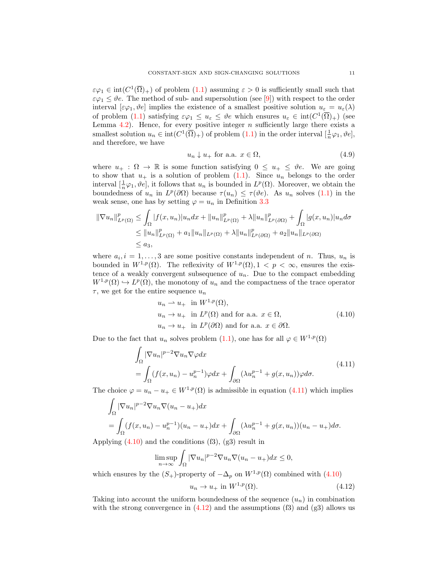$\varepsilon\varphi_1 \in \text{int}(C^1(\overline{\Omega})_+)$  of problem  $(1.1)$  assuming  $\varepsilon > 0$  is sufficiently small such that  $\varepsilon\varphi_1 \leq \vartheta$ . The method of sub- and supersolution (see [\[9\]](#page-28-6)) with respect to the order interval  $[\varepsilon\varphi_1, \vartheta\epsilon]$  implies the existence of a smallest positive solution  $u_{\varepsilon} = u_{\varepsilon}(\lambda)$ of problem [\(1.1\)](#page-0-0) satisfying  $\varepsilon\varphi_1 \leq u_{\varepsilon} \leq \vartheta e$  which ensures  $u_{\varepsilon} \in \text{int}(C^1(\overline{\Omega})_+)$  (see Lemma  $4.2$ ). Hence, for every positive integer n sufficiently large there exists a smallest solution  $u_n \in \text{int}(C^1(\overline{\Omega})_+)$  of problem  $(1.1)$  in the order interval  $[\frac{1}{n}\varphi_1, \vartheta_2]$ , and therefore, we have

<span id="page-10-3"></span>
$$
u_n \downarrow u_+ \text{ for a.a. } x \in \Omega,
$$
\n
$$
(4.9)
$$

where  $u_+ : \Omega \to \mathbb{R}$  is some function satisfying  $0 \leq u_+ \leq \vartheta$ . We are going to show that  $u_+$  is a solution of problem  $(1.1)$ . Since  $u_n$  belongs to the order interval  $[\frac{1}{n}\varphi_1, \vartheta_0]$ , it follows that  $u_n$  is bounded in  $L^p(\Omega)$ . Moreover, we obtain the boundedness of  $u_n$  in  $L^p(\partial\Omega)$  because  $\tau(u_n) \leq \tau(\vartheta e)$ . As  $u_n$  solves [\(1.1\)](#page-0-0) in the weak sense, one has by setting  $\varphi = u_n$  in Definition [3.3](#page-6-2)

$$
\|\nabla u_n\|_{L^p(\Omega)}^p \le \int_{\Omega} |f(x, u_n)| u_n dx + \|u_n\|_{L^p(\Omega)}^p + \lambda \|u_n\|_{L^p(\partial\Omega)}^p + \int_{\Omega} |g(x, u_n)| u_n d\sigma
$$
  
\n
$$
\le \|u_n\|_{L^p(\Omega)}^p + a_1 \|u_n\|_{L^p(\Omega)} + \lambda \|u_n\|_{L^p(\partial\Omega)}^p + a_2 \|u_n\|_{L^p(\partial\Omega)}
$$
  
\n
$$
\le a_3,
$$

where  $a_i, i = 1, \ldots, 3$  are some positive constants independent of *n*. Thus,  $u_n$  is bounded in  $W^{1,p}(\Omega)$ . The reflexivity of  $W^{1,p}(\Omega)$ ,  $1 < p < \infty$ , ensures the existence of a weakly convergent subsequence of  $u_n$ . Due to the compact embedding  $W^{1,p}(\Omega) \hookrightarrow L^p(\Omega)$ , the monotony of  $u_n$  and the compactness of the trace operator  $\tau$ , we get for the entire sequence  $u_n$ 

<span id="page-10-1"></span><span id="page-10-0"></span>
$$
u_n \rightharpoonup u_+ \text{ in } W^{1,p}(\Omega),
$$
  
\n
$$
u_n \rightharpoonup u_+ \text{ in } L^p(\Omega) \text{ and for a.a. } x \in \Omega,
$$
  
\n
$$
u_n \rightharpoonup u_+ \text{ in } L^p(\partial\Omega) \text{ and for a.a. } x \in \partial\Omega.
$$
\n(4.10)

Due to the fact that  $u_n$  solves problem [\(1.1\)](#page-0-0), one has for all  $\varphi \in W^{1,p}(\Omega)$ 

$$
\int_{\Omega} |\nabla u_n|^{p-2} \nabla u_n \nabla \varphi dx
$$
\n
$$
= \int_{\Omega} (f(x, u_n) - u_n^{p-1}) \varphi dx + \int_{\partial \Omega} (\lambda u_n^{p-1} + g(x, u_n)) \varphi d\sigma.
$$
\n(4.11)

The choice  $\varphi = u_n - u_+ \in W^{1,p}(\Omega)$  is admissible in equation [\(4.11\)](#page-10-0) which implies

$$
\int_{\Omega} |\nabla u_n|^{p-2} \nabla u_n \nabla (u_n - u_+) dx
$$
  
= 
$$
\int_{\Omega} (f(x, u_n) - u_n^{p-1})(u_n - u_+) dx + \int_{\partial \Omega} (\lambda u_n^{p-1} + g(x, u_n))(u_n - u_+) d\sigma.
$$

Applying  $(4.10)$  and the conditions  $(f3)$ ,  $(g3)$  result in

$$
\limsup_{n \to \infty} \int_{\Omega} |\nabla u_n|^{p-2} \nabla u_n \nabla (u_n - u_+) dx \le 0,
$$

which ensures by the  $(S_+)$ -property of  $-\Delta_p$  on  $W^{1,p}(\Omega)$  combined with  $(4.10)$ 

<span id="page-10-2"></span>
$$
u_n \to u_+ \text{ in } W^{1,p}(\Omega). \tag{4.12}
$$

Taking into account the uniform boundedness of the sequence  $(u_n)$  in combination with the strong convergence in  $(4.12)$  and the assumptions  $(f3)$  and  $(g3)$  allows us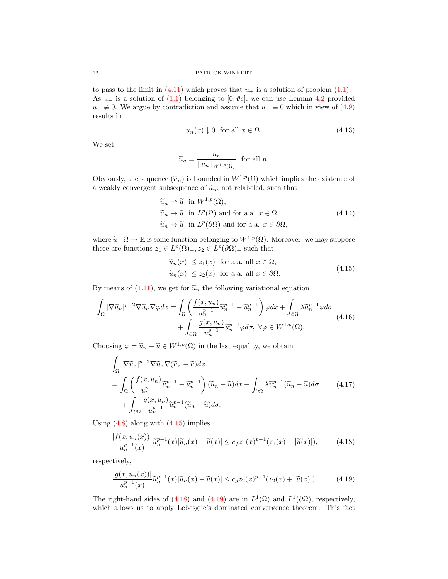to pass to the limit in  $(4.11)$  which proves that  $u_+$  is a solution of problem  $(1.1)$ . As  $u_+$  is a solution of [\(1.1\)](#page-0-0) belonging to [0,  $\vartheta e$ ], we can use Lemma [4.2](#page-9-3) provided  $u_+ \neq 0$ . We argue by contradiction and assume that  $u_+ \equiv 0$  which in view of [\(4.9\)](#page-10-3) results in

<span id="page-11-5"></span>
$$
u_n(x) \downarrow 0 \quad \text{for all } x \in \Omega. \tag{4.13}
$$

We set

<span id="page-11-3"></span>
$$
\widetilde{u}_n = \frac{u_n}{\|u_n\|_{W^{1,p}(\Omega)}} \text{ for all } n.
$$

Obviously, the sequence  $(\widetilde{u}_n)$  is bounded in  $W^{1,p}(\Omega)$  which implies the existence of a weakly convergent subsequence of  $\widetilde{u}_n,$  not relabeled, such that

$$
\widetilde{u}_n \rightharpoonup \widetilde{u} \quad \text{in } W^{1,p}(\Omega), \n\widetilde{u}_n \rightharpoonup \widetilde{u} \quad \text{in } L^p(\Omega) \text{ and for a.a. } x \in \Omega, \n\widetilde{u}_n \rightharpoonup \widetilde{u} \quad \text{in } L^p(\partial\Omega) \text{ and for a.a. } x \in \partial\Omega,
$$
\n(4.14)

where  $\tilde{u}: \Omega \to \mathbb{R}$  is some function belonging to  $W^{1,p}(\Omega)$ . Moreover, we may suppose there are functions  $z_1 \in L^p(\Omega)_+, z_2 \in L^p(\partial \Omega)_+$  such that

<span id="page-11-6"></span><span id="page-11-4"></span><span id="page-11-0"></span>
$$
|\widetilde{u}_n(x)| \le z_1(x) \text{ for a.a. all } x \in \Omega,
$$
  

$$
|\widetilde{u}_n(x)| \le z_2(x) \text{ for a.a. all } x \in \partial\Omega.
$$
 (4.15)

By means of  $(4.11)$ , we get for  $\tilde{u}_n$  the following variational equation

$$
\int_{\Omega} |\nabla \widetilde{u}_n|^{p-2} \nabla \widetilde{u}_n \nabla \varphi dx = \int_{\Omega} \left( \frac{f(x, u_n)}{u_n^{p-1}} \widetilde{u}_n^{p-1} - \widetilde{u}_n^{p-1} \right) \varphi dx + \int_{\partial \Omega} \lambda \widetilde{u}_n^{p-1} \varphi d\sigma + \int_{\partial \Omega} \frac{g(x, u_n)}{u_n^{p-1}} \widetilde{u}_n^{p-1} \varphi d\sigma, \ \forall \varphi \in W^{1, p}(\Omega).
$$
\n(4.16)

Choosing  $\varphi = \tilde{u}_n - \tilde{u} \in W^{1,p}(\Omega)$  in the last equality, we obtain

$$
\int_{\Omega} |\nabla \widetilde{u}_n|^{p-2} \nabla \widetilde{u}_n \nabla (\widetilde{u}_n - \widetilde{u}) dx \n= \int_{\Omega} \left( \frac{f(x, u_n)}{u_n^{p-1}} \widetilde{u}_n^{p-1} - \widetilde{u}_n^{p-1} \right) (\widetilde{u}_n - \widetilde{u}) dx + \int_{\partial \Omega} \lambda \widetilde{u}_n^{p-1} (\widetilde{u}_n - \widetilde{u}) d\sigma \n+ \int_{\partial \Omega} \frac{g(x, u_n)}{u_n^{p-1}} \widetilde{u}_n^{p-1} (\widetilde{u}_n - \widetilde{u}) d\sigma.
$$
\n(4.17)

Using  $(4.8)$  along with  $(4.15)$  implies

<span id="page-11-1"></span>
$$
\frac{|f(x, u_n(x))|}{u_n^{p-1}(x)} \tilde{u}_n^{p-1}(x)|\tilde{u}_n(x) - \tilde{u}(x)| \le c_f z_1(x)^{p-1}(z_1(x) + |\tilde{u}(x)|),\tag{4.18}
$$

respectively,

<span id="page-11-2"></span>
$$
\frac{|g(x, u_n(x))|}{u_n^{p-1}(x)}\tilde{u}_n^{p-1}(x)|\tilde{u}_n(x) - \tilde{u}(x)| \le c_g z_2(x)^{p-1}(z_2(x) + |\tilde{u}(x)|). \tag{4.19}
$$

The right-hand sides of [\(4.18\)](#page-11-1) and [\(4.19\)](#page-11-2) are in  $L^1(\Omega)$  and  $L^1(\partial\Omega)$ , respectively, which allows us to apply Lebesgue's dominated convergence theorem. This fact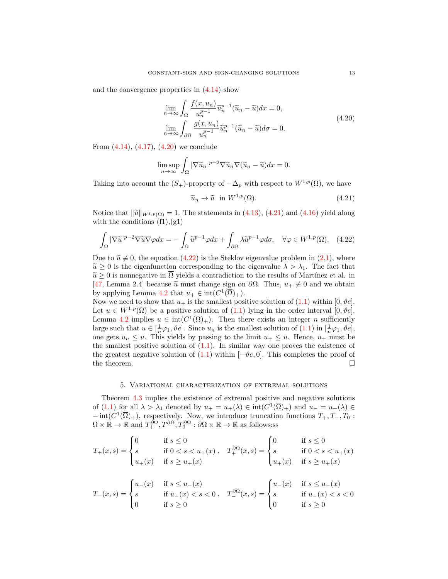and the convergence properties in [\(4.14\)](#page-11-3) show

$$
\lim_{n \to \infty} \int_{\Omega} \frac{f(x, u_n)}{u_n^{p-1}} \tilde{u}_n^{p-1} (\tilde{u}_n - \tilde{u}) dx = 0,
$$
\n
$$
\lim_{n \to \infty} \int_{\partial \Omega} \frac{g(x, u_n)}{u_n^{p-1}} \tilde{u}_n^{p-1} (\tilde{u}_n - \tilde{u}) d\sigma = 0.
$$
\n(4.20)

From  $(4.14)$ ,  $(4.17)$ ,  $(4.20)$  we conclude

$$
\limsup_{n \to \infty} \int_{\Omega} |\nabla \widetilde{u}_n|^{p-2} \nabla \widetilde{u}_n \nabla (\widetilde{u}_n - \widetilde{u}) dx = 0.
$$

Taking into account the  $(S_+)$ -property of  $-\Delta_p$  with respect to  $W^{1,p}(\Omega)$ , we have

<span id="page-12-2"></span><span id="page-12-1"></span><span id="page-12-0"></span>
$$
\widetilde{u}_n \to \widetilde{u} \quad \text{in } W^{1,p}(\Omega). \tag{4.21}
$$

Notice that  $\|\tilde{u}\|_{W^{1,p}(\Omega)} = 1$ . The statements in [\(4.13\)](#page-11-5), [\(4.21\)](#page-12-1) and [\(4.16\)](#page-11-6) yield along with the conditions  $(f1), (g1)$ 

$$
\int_{\Omega} |\nabla \widetilde{u}|^{p-2} \nabla \widetilde{u} \nabla \varphi dx = -\int_{\Omega} \widetilde{u}^{p-1} \varphi dx + \int_{\partial \Omega} \lambda \widetilde{u}^{p-1} \varphi d\sigma, \quad \forall \varphi \in W^{1,p}(\Omega). \tag{4.22}
$$

Due to  $\tilde{u} \neq 0$ , the equation [\(4.22\)](#page-12-2) is the Steklov eigenvalue problem in [\(2.1\)](#page-3-0), where  $\tilde{u} \geq 0$  is the eigenfunction corresponding to the eigenvalue  $\lambda > \lambda_1$ . The fact that  $\tilde{u} \geq 0$  is nonnegative in  $\Omega$  yields a contradiction to the results of Martínez et al. in [\[47,](#page-30-9) Lemma 2.4] because  $\tilde{u}$  must change sign on  $\partial\Omega$ . Thus,  $u_+\not\equiv 0$  and we obtain by applying Lemma [4.2](#page-9-3) that  $u_+ \in \text{int}(C^1(\overline{\Omega})_+).$ 

Now we need to show that  $u_+$  is the smallest positive solution of [\(1.1\)](#page-0-0) within [0,  $\vartheta e$ ]. Let  $u \in W^{1,p}(\Omega)$  be a positive solution of  $(1.1)$  $(1.1)$  lying in the order interval  $[0, \vartheta e]$ . Lemma [4.2](#page-9-3) implies  $u \in \text{int}(C^1(\overline{\Omega})_+)$ . Then there exists an integer *n* sufficiently large such that  $u \in [\frac{1}{n}\varphi_1, \vartheta e]$ . Since  $u_n$  is the smallest solution of  $(1.1)$  in  $[\frac{1}{n}\varphi_1, \vartheta e]$ , one gets  $u_n \leq u$ . This yields by passing to the limit  $u_+ \leq u$ . Hence,  $u_+$  must be the smallest positive solution of  $(1.1)$ . In similar way one proves the existence of the greatest negative solution of  $(1.1)$  within  $[-\vartheta e, 0]$ . This completes the proof of the theorem.  $\hfill \square$ 

# 5. Variational characterization of extremal solutions

Theorem [4.3](#page-9-0) implies the existence of extremal positive and negative solutions of [\(1.1\)](#page-0-0) for all  $\lambda > \lambda_1$  denoted by  $u_+ = u_+(\lambda) \in \text{int}(C^1(\overline{\Omega})_+)$  and  $u_- = u_-(\lambda) \in$  $-\operatorname{int}(C^1(\overline{\Omega})_+)$ , respectively. Now, we introduce truncation functions  $T_+, T_-, T_0$ :  $\Omega \times \mathbb{R} \to \mathbb{R}$  and  $T_+^{\partial\Omega}, T_-^{\partial\Omega}, T_0^{\partial\Omega} : \partial\Omega \times \mathbb{R} \to \mathbb{R}$  as follows:ss

$$
T_{+}(x,s) = \begin{cases} 0 & \text{if } s \le 0 \\ s & \text{if } 0 < s < u_{+}(x) \\ u_{+}(x) & \text{if } s \ge u_{+}(x) \end{cases}, \quad T_{+}^{\partial\Omega}(x,s) = \begin{cases} 0 & \text{if } s \le 0 \\ s & \text{if } 0 < s < u_{+}(x) \\ u_{+}(x) & \text{if } s \ge u_{+}(x) \end{cases}
$$

$$
T_{-}(x,s) = \begin{cases} u_{-}(x) & \text{if } s \le u_{-}(x) \\ s & \text{if } u_{-}(x) < s < 0 \\ 0 & \text{if } s \ge 0 \end{cases}, \quad T_{-}^{\partial\Omega}(x,s) = \begin{cases} u_{-}(x) & \text{if } s \le u_{-}(x) \\ s & \text{if } u_{-}(x) < s < 0 \\ 0 & \text{if } s \ge 0 \end{cases}
$$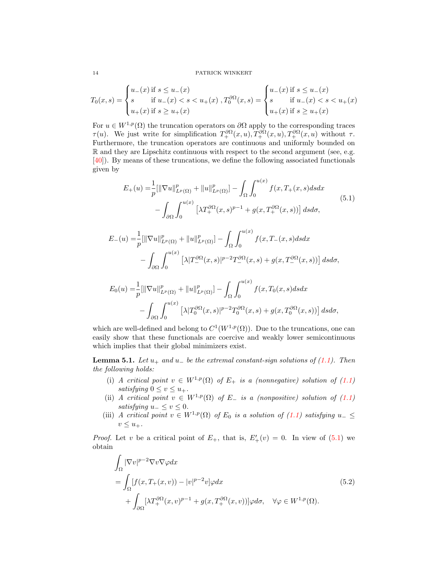$$
T_0(x,s) = \begin{cases} u_-(x) \text{ if } s \le u_-(x) \\ s & \text{ if } u_-(x) < s < u_+(x) \\ u_+(x) \text{ if } s \ge u_+(x) \end{cases}, T_0^{\partial\Omega}(x,s) = \begin{cases} u_-(x) \text{ if } s \le u_-(x) \\ s & \text{ if } u_-(x) < s < u_+(x) \\ u_+(x) \text{ if } s \ge u_+(x) \end{cases}
$$

For  $u \in W^{1,p}(\Omega)$  the truncation operators on  $\partial\Omega$  apply to the corresponding traces  $\tau(u)$ . We just write for simplification  $T_+^{\partial\Omega}(x,u), T_+^{\partial\Omega}(x,u), T_+^{\partial\Omega}(x,u)$  without  $\tau$ . Furthermore, the truncation operators are continuous and uniformly bounded on R and they are Lipschitz continuous with respect to the second argument (see, e.g. [\[40\]](#page-30-14)). By means of these truncations, we define the following associated functionals given by

<span id="page-13-0"></span>
$$
E_{+}(u) = \frac{1}{p} [\|\nabla u\|_{L^{p}(\Omega)}^{p} + \|u\|_{L^{p}(\Omega)}^{p}] - \int_{\Omega} \int_{0}^{u(x)} f(x, T_{+}(x, s) ds dx
$$
  

$$
- \int_{\partial \Omega} \int_{0}^{u(x)} [\lambda T_{+}^{\partial \Omega}(x, s)^{p-1} + g(x, T_{+}^{\partial \Omega}(x, s))] ds d\sigma,
$$
(5.1)

$$
E_{-}(u) = \frac{1}{p} [\|\nabla u\|_{L^{p}(\Omega)}^{p} + \|u\|_{L^{p}(\Omega)}^{p}] - \int_{\Omega} \int_{0}^{u(x)} f(x, T_{-}(x, s) ds dx
$$
  

$$
- \int_{\partial \Omega} \int_{0}^{u(x)} [\lambda |T_{-}^{\partial \Omega}(x, s)|^{p-2} T_{-}^{\partial \Omega}(x, s) + g(x, T_{-}^{\partial \Omega}(x, s))] ds d\sigma,
$$
  

$$
E_{0}(u) = \frac{1}{p} [\|\nabla u\|_{L^{p}(\Omega)}^{p} + \|u\|_{L^{p}(\Omega)}^{p}] - \int_{\Omega} \int_{0}^{u(x)} f(x, T_{0}(x, s) ds dx
$$

$$
-\int_{\partial\Omega} \int_0^{u(x)} \left[\lambda |T_0^{\partial\Omega}(x,s)|^{p-2} T_0^{\partial\Omega}(x,s) + g(x,T_0^{\partial\Omega}(x,s))\right] ds d\sigma,
$$

which are well-defined and belong to  $C^1(W^{1,p}(\Omega))$ . Due to the truncations, one can easily show that these functionals are coercive and weakly lower semicontinuous which implies that their global minimizers exist.

<span id="page-13-2"></span>**Lemma 5.1.** Let  $u_+$  and  $u_-$  be the extremal constant-sign solutions of [\(1.1\)](#page-0-0). Then the following holds:

- (i) A critical point  $v \in W^{1,p}(\Omega)$  of  $E_+$  is a (nonnegative) solution of [\(1.1\)](#page-0-0) satisfying  $0 \le v \le u_+$ .
- (ii) A critical point  $v \in W^{1,p}(\Omega)$  of  $E_$  is a (nonpositive) solution of [\(1.1\)](#page-0-0) satisfying  $u_-\leq v\leq 0$ .
- (iii) A critical point  $v \in W^{1,p}(\Omega)$  of  $E_0$  is a solution of [\(1.1\)](#page-0-0) satisfying  $u_{-} \leq$  $v \leq u_+$ .

*Proof.* Let v be a critical point of  $E_+$ , that is,  $E'_+(v) = 0$ . In view of [\(5.1\)](#page-13-0) we obtain

<span id="page-13-1"></span>
$$
\int_{\Omega} |\nabla v|^{p-2} \nabla v \nabla \varphi dx
$$
\n
$$
= \int_{\Omega} [f(x, T_+(x, v)) - |v|^{p-2} v] \varphi dx
$$
\n
$$
+ \int_{\partial \Omega} [\lambda T_+^{\partial \Omega} (x, v)^{p-1} + g(x, T_+^{\partial \Omega} (x, v))] \varphi d\sigma, \quad \forall \varphi \in W^{1, p}(\Omega).
$$
\n(5.2)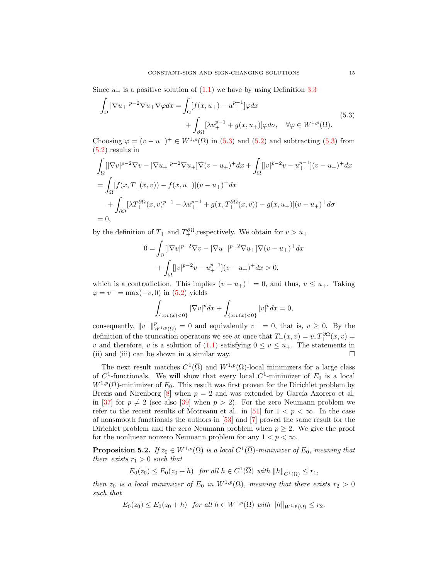Since  $u_+$  is a positive solution of  $(1.1)$  we have by using Definition [3.3](#page-6-2)

$$
\int_{\Omega} |\nabla u_{+}|^{p-2} \nabla u_{+} \nabla \varphi dx = \int_{\Omega} [f(x, u_{+}) - u_{+}^{p-1}] \varphi dx \n+ \int_{\partial \Omega} [\lambda u_{+}^{p-1} + g(x, u_{+})] \varphi d\sigma, \quad \forall \varphi \in W^{1, p}(\Omega).
$$
\n(5.3)

Choosing  $\varphi = (v - u_+)^\dagger \in W^{1,p}(\Omega)$  in [\(5.3\)](#page-14-1) and [\(5.2\)](#page-13-1) and subtracting (5.3) from [\(5.2\)](#page-13-1) results in

$$
\int_{\Omega} [|\nabla v|^{p-2} \nabla v - |\nabla u_+|^{p-2} \nabla u_+|\nabla (v - u_+)^+ dx + \int_{\Omega} [|v|^{p-2} v - u_+^{p-1}] (v - u_+)^+ dx
$$
  
\n
$$
= \int_{\Omega} [f(x, T_+(x, v)) - f(x, u_+)] (v - u_+)^+ dx
$$
  
\n
$$
+ \int_{\partial \Omega} [\lambda T_+^{\partial \Omega} (x, v)^{p-1} - \lambda u_+^{p-1} + g(x, T_+^{\partial \Omega} (x, v)) - g(x, u_+)] (v - u_+)^+ d\sigma
$$
  
\n
$$
= 0,
$$

by the definition of  $T_+$  and  $T_+^{\partial\Omega}$ , respectively. We obtain for  $v > u_+$ 

<span id="page-14-1"></span>
$$
0 = \int_{\Omega} [|\nabla v|^{p-2} \nabla v - |\nabla u_+|^{p-2} \nabla u_+] \nabla (v - u_+)^+ dx
$$

$$
+ \int_{\Omega} [|v|^{p-2} v - u_+^{p-1}] (v - u_+)^+ dx > 0,
$$

which is a contradiction. This implies  $(v - u_+)^+ = 0$ , and thus,  $v \leq u_+$ . Taking  $\varphi = v^- = \max(-v, 0)$  in [\(5.2\)](#page-13-1) yields

$$
\int_{\{x: v(x)<0\}} |\nabla v|^p dx + \int_{\{x: v(x)<0\}} |v|^p dx = 0,
$$

consequently,  $||v^-||^p_{W^{1,p}(\Omega)} = 0$  and equivalently  $v^- = 0$ , that is,  $v \ge 0$ . By the definition of the truncation operators we see at once that  $T_+(x,v) = v, T_+^{\partial\Omega}(x,v) =$ v and therefore, v is a solution of [\(1.1\)](#page-0-0) satisfying  $0 \le v \le u_+$ . The statements in (ii) and (iii) can be shown in a similar way.  $\Box$ 

The next result matches  $C^1(\overline{\Omega})$  and  $W^{1,p}(\Omega)$ -local minimizers for a large class of  $C^1$ -functionals. We will show that every local  $C^1$ -minimizer of  $E_0$  is a local  $W^{1,p}(\Omega)$ -minimizer of  $E_0$ . This result was first proven for the Dirichlet problem by Brezis and Nirenberg  $[8]$  when  $p = 2$  and was extended by García Azorero et al. in [\[37\]](#page-30-15) for  $p \neq 2$  (see also [\[39\]](#page-30-16) when  $p > 2$ ). For the zero Neumann problem we refer to the recent results of Motreanu et al. in [\[51\]](#page-30-17) for  $1 < p < \infty$ . In the case of nonsmooth functionals the authors in [\[53\]](#page-30-18) and [\[7\]](#page-28-8) proved the same result for the Dirichlet problem and the zero Neumann problem when  $p \geq 2$ . We give the proof for the nonlinear nonzero Neumann problem for any  $1 < p < \infty$ .

<span id="page-14-0"></span>**Proposition 5.2.** If  $z_0 \in W^{1,p}(\Omega)$  is a local  $C^1(\overline{\Omega})$ -minimizer of  $E_0$ , meaning that there exists  $r_1 > 0$  such that

$$
E_0(z_0) \le E_0(z_0 + h) \quad \text{for all } h \in C^1(\overline{\Omega}) \text{ with } ||h||_{C^1(\overline{\Omega})} \le r_1,
$$

then  $z_0$  is a local minimizer of  $E_0$  in  $W^{1,p}(\Omega)$ , meaning that there exists  $r_2 > 0$ such that

$$
E_0(z_0) \le E_0(z_0 + h)
$$
 for all  $h \in W^{1,p}(\Omega)$  with  $||h||_{W^{1,p}(\Omega)} \le r_2$ .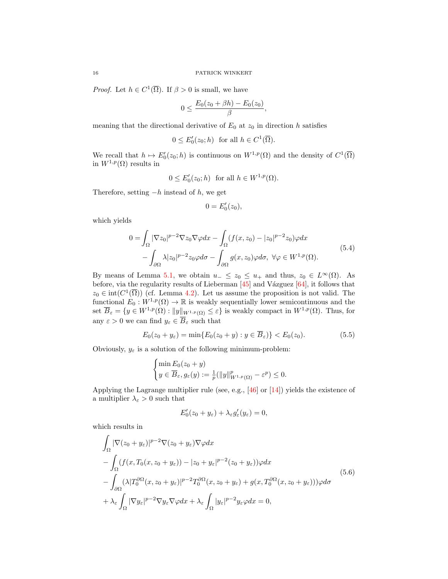*Proof.* Let  $h \in C^1(\overline{\Omega})$ . If  $\beta > 0$  is small, we have

$$
0 \leq \frac{E_0(z_0 + \beta h) - E_0(z_0)}{\beta},
$$

meaning that the directional derivative of  $E_0$  at  $z_0$  in direction h satisfies

$$
0 \le E'_0(z_0; h) \text{ for all } h \in C^1(\overline{\Omega}).
$$

We recall that  $h \mapsto E'_0(z_0; h)$  is continuous on  $W^{1,p}(\Omega)$  and the density of  $C^1(\overline{\Omega})$ in  $W^{1,p}(\Omega)$  results in

$$
0 \le E'_0(z_0; h) \text{ for all } h \in W^{1,p}(\Omega).
$$

Therefore, setting  $-h$  instead of h, we get

<span id="page-15-0"></span>
$$
0=E_0'(z_0),
$$

which yields

$$
0 = \int_{\Omega} |\nabla z_0|^{p-2} \nabla z_0 \nabla \varphi dx - \int_{\Omega} (f(x, z_0) - |z_0|^{p-2} z_0) \varphi dx - \int_{\partial \Omega} \lambda |z_0|^{p-2} z_0 \varphi d\sigma - \int_{\partial \Omega} g(x, z_0) \varphi d\sigma, \ \forall \varphi \in W^{1, p}(\Omega).
$$
 (5.4)

By means of Lemma [5.1,](#page-13-2) we obtain  $u_-\leq z_0\leq u_+$  and thus,  $z_0\in L^{\infty}(\Omega)$ . As before, via the regularity results of Lieberman  $[45]$  and Vázguez  $[64]$ , it follows that  $z_0 \in \text{int}(C^1(\overline{\Omega}))$  (cf. Lemma [4.2\)](#page-9-3). Let us assume the proposition is not valid. The functional  $E_0: W^{1,p}(\Omega) \to \mathbb{R}$  is weakly sequentially lower semicontinuous and the set  $\overline{B}_{\varepsilon} = \{y \in W^{1,p}(\Omega) : ||y||_{W^{1,p}(\Omega)} \leq \varepsilon\}$  is weakly compact in  $W^{1,p}(\Omega)$ . Thus, for any  $\varepsilon > 0$  we can find  $y_{\varepsilon} \in \overline{B}_{\varepsilon}$  such that

$$
E_0(z_0 + y_\varepsilon) = \min\{E_0(z_0 + y) : y \in \overline{B}_\varepsilon)\} < E_0(z_0). \tag{5.5}
$$

Obviously,  $y_\varepsilon$  is a solution of the following minimum-problem:

$$
\begin{cases} \min E_0(z_0 + y) \\ y \in \overline{B}_{\varepsilon}, g_{\varepsilon}(y) := \frac{1}{p} (\|y\|_{W^{1,p}(\Omega)}^p - \varepsilon^p) \leq 0. \end{cases}
$$

Applying the Lagrange multiplier rule (see, e.g., [\[46\]](#page-30-19) or [\[14\]](#page-29-19)) yields the existence of a multiplier  $\lambda_{\varepsilon} > 0$  such that

<span id="page-15-2"></span><span id="page-15-1"></span>
$$
E'_0(z_0 + y_{\varepsilon}) + \lambda_{\varepsilon} g'_{\varepsilon}(y_{\varepsilon}) = 0,
$$

which results in

$$
\int_{\Omega} |\nabla(z_0 + y_{\varepsilon})|^{p-2} \nabla(z_0 + y_{\varepsilon}) \nabla \varphi dx
$$
\n
$$
- \int_{\Omega} (f(x, T_0(x, z_0 + y_{\varepsilon})) - |z_0 + y_{\varepsilon}|^{p-2} (z_0 + y_{\varepsilon})) \varphi dx
$$
\n
$$
- \int_{\partial \Omega} (\lambda |T_0^{\partial \Omega}(x, z_0 + y_{\varepsilon})|^{p-2} T_0^{\partial \Omega}(x, z_0 + y_{\varepsilon}) + g(x, T_0^{\partial \Omega}(x, z_0 + y_{\varepsilon}))) \varphi d\sigma
$$
\n
$$
+ \lambda_{\varepsilon} \int_{\Omega} |\nabla y_{\varepsilon}|^{p-2} \nabla y_{\varepsilon} \nabla \varphi dx + \lambda_{\varepsilon} \int_{\Omega} |y_{\varepsilon}|^{p-2} y_{\varepsilon} \varphi dx = 0,
$$
\n(5.6)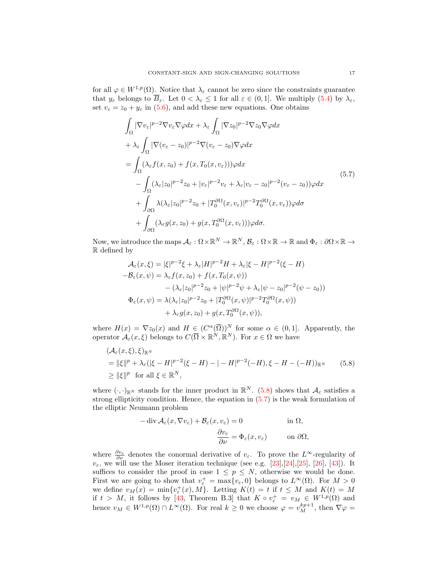for all  $\varphi \in W^{1,p}(\Omega)$ . Notice that  $\lambda_{\varepsilon}$  cannot be zero since the constraints guarantee that  $y_{\varepsilon}$  belongs to  $\overline{B}_{\varepsilon}$ . Let  $0 < \lambda_{\varepsilon} \leq 1$  for all  $\varepsilon \in (0,1]$ . We multiply  $(5.4)$  by  $\lambda_{\varepsilon}$ , set  $v_{\varepsilon} = z_0 + y_{\varepsilon}$  in [\(5.6\)](#page-15-1), and add these new equations. One obtains

<span id="page-16-1"></span>
$$
\int_{\Omega} |\nabla v_{\varepsilon}|^{p-2} \nabla v_{\varepsilon} \nabla \varphi dx + \lambda_{\varepsilon} \int_{\Omega} |\nabla z_{0}|^{p-2} \nabla z_{0} \nabla \varphi dx \n+ \lambda_{\varepsilon} \int_{\Omega} |\nabla (v_{\varepsilon} - z_{0})|^{p-2} \nabla (v_{\varepsilon} - z_{0}) \nabla \varphi dx \n= \int_{\Omega} (\lambda_{\varepsilon} f(x, z_{0}) + f(x, T_{0}(x, v_{\varepsilon}))) \varphi dx \n- \int_{\Omega} (\lambda_{\varepsilon} |z_{0}|^{p-2} z_{0} + |v_{\varepsilon}|^{p-2} v_{\varepsilon} + \lambda_{\varepsilon} |v_{\varepsilon} - z_{0}|^{p-2} (v_{\varepsilon} - z_{0})) \varphi dx \n+ \int_{\partial \Omega} \lambda (\lambda_{\varepsilon} |z_{0}|^{p-2} z_{0} + |T_{0}^{\partial \Omega} (x, v_{\varepsilon})|^{p-2} T_{0}^{\partial \Omega} (x, v_{\varepsilon})) \varphi d\sigma \n+ \int_{\partial \Omega} (\lambda_{\varepsilon} g(x, z_{0}) + g(x, T_{0}^{\partial \Omega} (x, v_{\varepsilon}))) \varphi d\sigma.
$$
\n(5.7)

Now, we introduce the maps  $\mathcal{A}_{\varepsilon}: \Omega \times \mathbb{R}^N \to \mathbb{R}^N$ ,  $\mathcal{B}_{\varepsilon}: \Omega \times \mathbb{R} \to \mathbb{R}$  and  $\Phi_{\varepsilon}: \partial \Omega \times \mathbb{R} \to$ R defined by

$$
\mathcal{A}_{\varepsilon}(x,\xi) = |\xi|^{p-2}\xi + \lambda_{\varepsilon}|H|^{p-2}H + \lambda_{\varepsilon}|\xi - H|^{p-2}(\xi - H) \n- \mathcal{B}_{\varepsilon}(x,\psi) = \lambda_{\varepsilon}f(x,z_0) + f(x,T_0(x,\psi)) \n- (\lambda_{\varepsilon}|z_0|^{p-2}z_0 + |\psi|^{p-2}\psi + \lambda_{\varepsilon}|\psi - z_0|^{p-2}(\psi - z_0)) \n\Phi_{\varepsilon}(x,\psi) = \lambda(\lambda_{\varepsilon}|z_0|^{p-2}z_0 + |T_0^{\partial\Omega}(x,\psi)|^{p-2}T_0^{\partial\Omega}(x,\psi)) \n+ \lambda_{\varepsilon}g(x,z_0) + g(x,T_0^{\partial\Omega}(x,\psi)),
$$

where  $H(x) = \nabla z_0(x)$  and  $H \in (C^{\alpha}(\overline{\Omega}))^N$  for some  $\alpha \in (0,1]$ . Apparently, the operator  $\mathcal{A}_{\varepsilon}(x,\xi)$  belongs to  $C(\overline{\Omega}\times\mathbb{R}^N,\mathbb{R}^N)$ . For  $x\in\Omega$  we have

$$
(\mathcal{A}_{\varepsilon}(x,\xi),\xi)_{\mathbb{R}^N}
$$
  
=  $||\xi||^p + \lambda_{\varepsilon}(|\xi - H|^{p-2}(\xi - H) - | - H|^{p-2}(-H), \xi - H - (-H))_{\mathbb{R}^N}$  (5.8)  
 $\ge ||\xi||^p$  for all  $\xi \in \mathbb{R}^N$ ,

where  $(\cdot, \cdot)_{\mathbb{R}^N}$  stands for the inner product in  $\mathbb{R}^N$ . [\(5.8\)](#page-16-0) shows that  $\mathcal{A}_{\varepsilon}$  satisfies a strong ellipticity condition. Hence, the equation in [\(5.7\)](#page-16-1) is the weak formulation of the elliptic Neumann problem

<span id="page-16-0"></span>
$$
-\operatorname{div} \mathcal{A}_{\varepsilon}(x, \nabla v_{\varepsilon}) + \mathcal{B}_{\varepsilon}(x, v_{\varepsilon}) = 0 \qquad \text{in } \Omega,
$$

$$
\frac{\partial v_{\varepsilon}}{\partial \nu} = \Phi_{\varepsilon}(x, v_{\varepsilon}) \qquad \text{on } \partial \Omega,
$$

where  $\frac{\partial v_{\varepsilon}}{\partial \nu}$  denotes the conormal derivative of  $v_{\varepsilon}$ . To prove the L<sup>∞</sup>-regularity of  $v_{\varepsilon}$ , we will use the Moser iteration technique (see e.g. [\[23\]](#page-29-20),[\[24\]](#page-29-21),[\[25\]](#page-29-22), [\[26\]](#page-29-16), [\[43\]](#page-30-10)). It suffices to consider the proof in case  $1 \leq p \leq N$ , otherwise we would be done. First we are going to show that  $v_{\varepsilon}^+ = \max\{v_{\varepsilon}, 0\}$  belongs to  $L^{\infty}(\Omega)$ . For  $M > 0$ we define  $v_M(x) = \min\{v_{\varepsilon}^+(x), M\}$ . Letting  $K(t) = t$  if  $t \leq M$  and  $K(t) = M$ if  $t > M$ , it follows by [\[43,](#page-30-10) Theorem B.3] that  $K \circ v_{\varepsilon}^+ = v_{M} \in W^{1,p}(\Omega)$  and hence  $v_M \in W^{1,p}(\Omega) \cap L^{\infty}(\Omega)$ . For real  $k \geq 0$  we choose  $\varphi = v_M^{kp+1}$ , then  $\nabla \varphi =$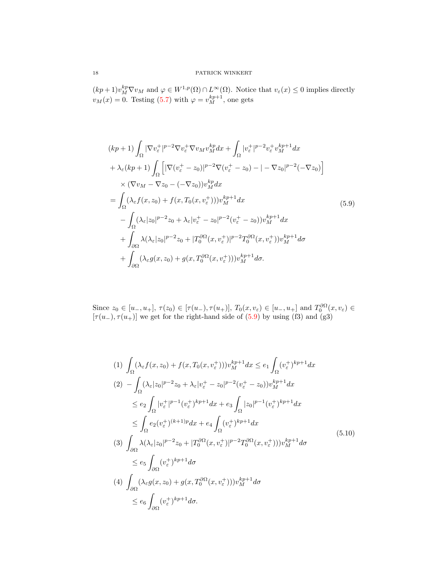$(kp+1)v_M^{kp}\nabla v_M$  and  $\varphi \in W^{1,p}(\Omega) \cap L^{\infty}(\Omega)$ . Notice that  $v_{\varepsilon}(x) \leq 0$  implies directly  $v_M(x) = 0$ . Testing [\(5.7\)](#page-16-1) with  $\varphi = v_M^{kp+1}$ , one gets

<span id="page-17-0"></span>
$$
(kp+1)\int_{\Omega} |\nabla v_{\varepsilon}^{+}|^{p-2} \nabla v_{\varepsilon}^{+} \nabla v_{M} v_{M}^{kp} dx + \int_{\Omega} |v_{\varepsilon}^{+}|^{p-2} v_{\varepsilon}^{+} v_{M}^{kp+1} dx \n+ \lambda_{\varepsilon} (kp+1)\int_{\Omega} \left[ |\nabla (v_{\varepsilon}^{+} - z_{0})|^{p-2} \nabla (v_{\varepsilon}^{+} - z_{0}) - |- \nabla z_{0}|^{p-2} (-\nabla z_{0}) \right] \n\times (\nabla v_{M} - \nabla z_{0} - (-\nabla z_{0})) v_{M}^{kp} dx \n= \int_{\Omega} (\lambda_{\varepsilon} f(x, z_{0}) + f(x, T_{0}(x, v_{\varepsilon}^{+}))) v_{M}^{kp+1} dx \n- \int_{\Omega} (\lambda_{\varepsilon} |z_{0}|^{p-2} z_{0} + \lambda_{\varepsilon} |v_{\varepsilon}^{+} - z_{0}|^{p-2} (v_{\varepsilon}^{+} - z_{0})) v_{M}^{kp+1} dx \n+ \int_{\partial \Omega} \lambda (\lambda_{\varepsilon} |z_{0}|^{p-2} z_{0} + |T_{0}^{\partial \Omega} (x, v_{\varepsilon}^{+})|^{p-2} T_{0}^{\partial \Omega} (x, v_{\varepsilon}^{+})) v_{M}^{kp+1} d\sigma \n+ \int_{\partial \Omega} (\lambda_{\varepsilon} g(x, z_{0}) + g(x, T_{0}^{\partial \Omega} (x, v_{\varepsilon}^{+}))) v_{M}^{kp+1} d\sigma.
$$
\n(5.9)

Since  $z_0 \in [u_-, u_+]$ ,  $\tau(z_0) \in [\tau(u_-), \tau(u_+)]$ ,  $T_0(x, v_{\varepsilon}) \in [u_-, u_+]$  and  $T_0^{\partial\Omega}(x, v_{\varepsilon}) \in$  $[\tau(u_-), \tau(u_+)]$  we get for the right-hand side of [\(5.9\)](#page-17-0) by using (f3) and (g3)

<span id="page-17-1"></span>
$$
(1) \int_{\Omega} (\lambda_{\varepsilon} f(x, z_{0}) + f(x, T_{0}(x, v_{\varepsilon}^{+}))) v_{M}^{kp+1} dx \le e_{1} \int_{\Omega} (v_{\varepsilon}^{+})^{kp+1} dx
$$
\n
$$
(2) - \int_{\Omega} (\lambda_{\varepsilon} |z_{0}|^{p-2} z_{0} + \lambda_{\varepsilon} |v_{\varepsilon}^{+} - z_{0}|^{p-2} (v_{\varepsilon}^{+} - z_{0})) v_{M}^{kp+1} dx
$$
\n
$$
\le e_{2} \int_{\Omega} |v_{\varepsilon}^{+}|^{p-1} (v_{\varepsilon}^{+})^{kp+1} dx + e_{3} \int_{\Omega} |z_{0}|^{p-1} (v_{\varepsilon}^{+})^{kp+1} dx
$$
\n
$$
\le \int_{\Omega} e_{2} (v_{\varepsilon}^{+})^{(k+1)p} dx + e_{4} \int_{\Omega} (v_{\varepsilon}^{+})^{kp+1} dx
$$
\n
$$
(3) \int_{\partial\Omega} \lambda (\lambda_{\varepsilon} |z_{0}|^{p-2} z_{0} + |T_{0}^{\partial\Omega}(x, v_{\varepsilon}^{+})|^{p-2} T_{0}^{\partial\Omega}(x, v_{\varepsilon}^{+})) ) v_{M}^{kp+1} d\sigma
$$
\n
$$
\le e_{5} \int_{\partial\Omega} (v_{\varepsilon}^{+})^{kp+1} d\sigma
$$
\n
$$
(4) \int_{\partial\Omega} (\lambda_{\varepsilon} g(x, z_{0}) + g(x, T_{0}^{\partial\Omega}(x, v_{\varepsilon}^{+})) ) v_{M}^{kp+1} d\sigma
$$
\n
$$
\le e_{6} \int_{\partial\Omega} (v_{\varepsilon}^{+})^{kp+1} d\sigma.
$$
\n(4)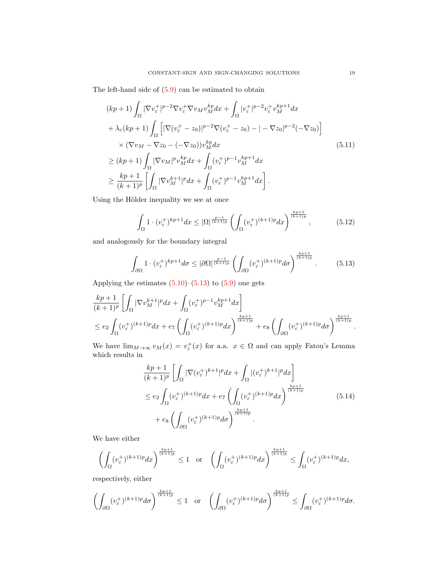The left-hand side of  $(5.9)$  can be estimated to obtain

$$
(kp+1)\int_{\Omega} |\nabla v_{\varepsilon}^{+}|^{p-2} \nabla v_{\varepsilon}^{+} \nabla v_{M} v_{M}^{kp} dx + \int_{\Omega} |v_{\varepsilon}^{+}|^{p-2} v_{\varepsilon}^{+} v_{M}^{kp+1} dx + \lambda_{\varepsilon} (kp+1)\int_{\Omega} \left[ |\nabla (v_{\varepsilon}^{+} - z_{0})|^{p-2} \nabla (v_{\varepsilon}^{+} - z_{0}) - |- \nabla z_{0}|^{p-2} (-\nabla z_{0}) \right] \times (\nabla v_{M} - \nabla z_{0} - (-\nabla z_{0})) v_{M}^{kp} dx \geq (kp+1)\int_{\Omega} |\nabla v_{M}|^{p} v_{M}^{kp} dx + \int_{\Omega} (v_{\varepsilon}^{+})^{p-1} v_{M}^{kp+1} dx \geq \frac{kp+1}{(k+1)^{p}} \left[ \int_{\Omega} |\nabla v_{M}^{k+1}|^{p} dx + \int_{\Omega} (v_{\varepsilon}^{+})^{p-1} v_{M}^{kp+1} dx \right].
$$
\n(5.11)

Using the Hölder inequality we see at once

$$
\int_{\Omega} 1 \cdot (v_{\varepsilon}^{+})^{kp+1} dx \leq |\Omega|^{\frac{p-1}{(k+1)p}} \left( \int_{\Omega} (v_{\varepsilon}^{+})^{(k+1)p} dx \right)^{\frac{kp+1}{(k+1)p}}, \tag{5.12}
$$

and analogously for the boundary integral

<span id="page-18-0"></span>
$$
\int_{\partial\Omega} 1 \cdot (v_{\varepsilon}^{+})^{kp+1} d\sigma \leq |\partial\Omega|^{\frac{p-1}{(k+1)p}} \left( \int_{\partial\Omega} (v_{\varepsilon}^{+})^{(k+1)p} d\sigma \right)^{\frac{kp+1}{(k+1)p}}.
$$
 (5.13)

Applying the estimates  $(5.10)$ – $(5.13)$  to  $(5.9)$  one gets

$$
\begin{split} &\frac{kp+1}{(k+1)^p}\left[\int_{\Omega}|\nabla v^{k+1}_M|^pdx+\int_{\Omega}(v^{+}_\varepsilon)^{p-1}v^{kp+1}_Mdx\right]\\ &\leq e_2\int_{\Omega}(v^{+}_\varepsilon)^{(k+1)p}dx+e_7\left(\int_{\Omega}(v^{+}_\varepsilon)^{(k+1)p}dx\right)^{\frac{kp+1}{(k+1)p}}+e_8\left(\int_{\partial\Omega}(v^{+}_\varepsilon)^{(k+1)p}d\sigma\right)^{\frac{kp+1}{(k+1)p}}. \end{split}
$$

We have  $\lim_{M\to\infty} v_M(x) = v_{\varepsilon}^+(x)$  for a.a.  $x \in \Omega$  and can apply Fatou's Lemma which results in

<span id="page-18-1"></span>
$$
\frac{kp+1}{(k+1)^p} \left[ \int_{\Omega} |\nabla (v_{\varepsilon}^+)^{k+1}|^p dx + \int_{\Omega} |(v_{\varepsilon}^+)^{k+1}|^p dx \right]
$$
  
\n
$$
\leq e_2 \int_{\Omega} (v_{\varepsilon}^+)^{(k+1)p} dx + e_7 \left( \int_{\Omega} (v_{\varepsilon}^+)^{(k+1)p} dx \right)^{\frac{kp+1}{(k+1)p}}
$$
  
\n
$$
+ e_8 \left( \int_{\partial \Omega} (v_{\varepsilon}^+)^{(k+1)p} d\sigma \right)^{\frac{kp+1}{(k+1)p}}.
$$
\n(5.14)

We have either

$$
\left(\int_{\Omega}(v_{\varepsilon}^{+})^{(k+1)p}dx\right)^{\frac{kp+1}{(k+1)p}} \leq 1 \quad \text{or} \quad \left(\int_{\Omega}(v_{\varepsilon}^{+})^{(k+1)p}dx\right)^{\frac{kp+1}{(k+1)p}} \leq \int_{\Omega}(v_{\varepsilon}^{+})^{(k+1)p}dx,
$$

respectively, either

$$
\left(\int_{\partial\Omega}(v_{\varepsilon}^{+})^{(k+1)p}d\sigma\right)^{\frac{kp+1}{(k+1)p}}\leq 1\quad\text{or}\quad\left(\int_{\partial\Omega}(v_{\varepsilon}^{+})^{(k+1)p}d\sigma\right)^{\frac{kp+1}{(k+1)p}}\leq \int_{\partial\Omega}(v_{\varepsilon}^{+})^{(k+1)p}d\sigma.
$$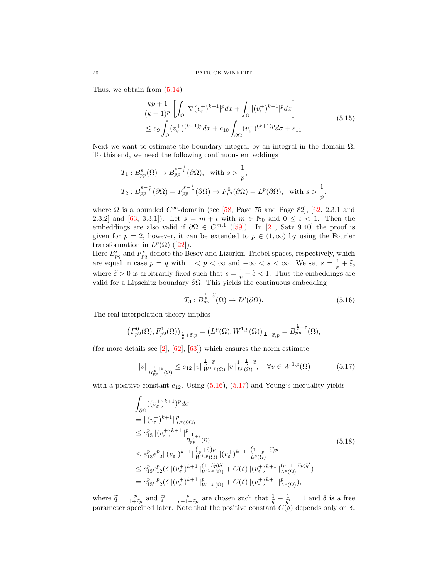Thus, we obtain from [\(5.14\)](#page-18-1)

<span id="page-19-3"></span>
$$
\frac{kp+1}{(k+1)^p} \left[ \int_{\Omega} |\nabla (v_{\varepsilon}^+)^{k+1}|^p dx + \int_{\Omega} |(v_{\varepsilon}^+)^{k+1}|^p dx \right]
$$
\n
$$
\leq e_9 \int_{\Omega} (v_{\varepsilon}^+)^{(k+1)p} dx + e_{10} \int_{\partial \Omega} (v_{\varepsilon}^+)^{(k+1)p} d\sigma + e_{11}.
$$
\n(5.15)

Next we want to estimate the boundary integral by an integral in the domain  $\Omega$ . To this end, we need the following continuous embeddings

$$
T_1: B_{pp}^s(\Omega) \to B_{pp}^{s-\frac{1}{p}}(\partial \Omega), \text{ with } s > \frac{1}{p},
$$
  
\n
$$
T_2: B_{pp}^{s-\frac{1}{p}}(\partial \Omega) = F_{pp}^{s-\frac{1}{p}}(\partial \Omega) \to F_{p2}^0(\partial \Omega) = L^p(\partial \Omega), \text{ with } s > \frac{1}{p},
$$

where  $\Omega$  is a bounded  $C^{\infty}$ -domain (see [\[58,](#page-30-20) Page 75 and Page 82], [\[62,](#page-30-21) 2.3.1 and 2.3.2] and [\[63,](#page-31-4) 3.3.1]). Let  $s = m + \iota$  with  $m \in \mathbb{N}_0$  and  $0 \leq \iota < 1$ . Then the embeddings are also valid if  $\partial \Omega \in C^{m,1}$  ([\[59\]](#page-30-22)). In [\[21,](#page-29-23) Satz 9.40] the proof is given for  $p = 2$ , however, it can be extended to  $p \in (1, \infty)$  by using the Fourier transformationin  $L^p(\Omega)$  ([\[22\]](#page-29-24)).

Here  $B_{pq}^s$  and  $F_{pq}^s$  denote the Besov and Lizorkin-Triebel spaces, respectively, which are equal in case  $p = q$  with  $1 < p < \infty$  and  $-\infty < s < \infty$ . We set  $s = \frac{1}{p} + \tilde{\varepsilon}$ , where  $\tilde{\varepsilon} > 0$  is arbitrarily fixed such that  $s = \frac{1}{p} + \tilde{\varepsilon} < 1$ . Thus the embeddings are<br>unlid for a Lingghitz houndary 30. This viable the continuous embedding. valid for a Lipschitz boundary  $\partial\Omega$ . This yields the continuous embedding

<span id="page-19-1"></span><span id="page-19-0"></span>
$$
T_3: B_{pp}^{\frac{1}{p}+\widetilde{\varepsilon}}(\Omega) \to L^p(\partial\Omega). \tag{5.16}
$$

The real interpolation theory implies

$$
\left(F_{p2}^0(\Omega), F_{p2}^1(\Omega)\right)_{\frac{1}{p}+\widetilde{\varepsilon},p} = \left(L^p(\Omega), W^{1,p}(\Omega)\right)_{\frac{1}{p}+\widetilde{\varepsilon},p} = B_{pp}^{\frac{1}{p}+\widetilde{\varepsilon}}(\Omega),
$$

(for more details see  $[2]$ ,  $[62]$ ,  $[63]$ ) which ensures the norm estimate

$$
||v||_{B_{pp}^{\frac{1}{p}+\tilde{\varepsilon}}(\Omega)} \leq e_{12}||v||_{W^{1,p}(\Omega)}^{\frac{1}{p}+\tilde{\varepsilon}}||v||_{L^{p}(\Omega)}^{1-\frac{1}{p}-\tilde{\varepsilon}}, \quad \forall v \in W^{1,p}(\Omega)
$$
 (5.17)

with a positive constant  $e_{12}$ . Using  $(5.16)$ ,  $(5.17)$  and Young's inequality yields

<span id="page-19-2"></span>
$$
\int_{\partial\Omega} ((v_{\varepsilon}^{+})^{k+1})^{p} d\sigma
$$
\n
$$
= ||(v_{\varepsilon}^{+})^{k+1}||_{L^{p}(\partial\Omega)}^{p}
$$
\n
$$
\leq e_{13}^{p} ||(v_{\varepsilon}^{+})^{k+1}||_{L^{p}(\partial\Omega)}^{p}
$$
\n
$$
\leq e_{13}^{p} e_{12}^{p} ||(v_{\varepsilon}^{+})^{k+1}||_{W^{1,p}(\Omega)}^{(\frac{1}{p}+\tilde{\varepsilon})p} ||(v_{\varepsilon}^{+})^{k+1}||_{L^{p}(\Omega)}^{(1-\frac{1}{p}-\tilde{\varepsilon})p}
$$
\n
$$
\leq e_{13}^{p} e_{12}^{p} (\delta ||(v_{\varepsilon}^{+})^{k+1}||_{W^{1,p}(\Omega)}^{(1+\tilde{\varepsilon}p)\tilde{q}} + C(\delta) ||(v_{\varepsilon}^{+})^{k+1}||_{L^{p}(\Omega)}^{(p-1-\tilde{\varepsilon}p)\tilde{q}})
$$
\n
$$
= e_{13}^{p} e_{12}^{p} (\delta ||(v_{\varepsilon}^{+})^{k+1}||_{W^{1,p}(\Omega)}^{p} + C(\delta) ||(v_{\varepsilon}^{+})^{k+1}||_{L^{p}(\Omega)}^{p}),
$$
\n(5.18)

where  $\tilde{q} = \frac{p}{1+\tilde{\epsilon}p}$  and  $\tilde{q}' = \frac{p}{p-1-\tilde{\epsilon}p}$  are chosen such that  $\frac{1}{\tilde{q}} + \frac{1}{\tilde{q}'} = 1$  and  $\delta$  is a free parameter specified later. Note that the positive constant  $C(\delta)$  depends only on  $\delta$ .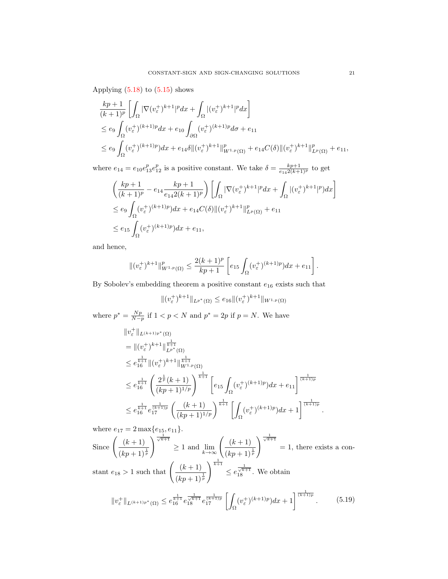Applying  $(5.18)$  to  $(5.15)$  shows

$$
\frac{kp+1}{(k+1)^p} \left[ \int_{\Omega} |\nabla (v_{\varepsilon}^+)^{k+1}|^p dx + \int_{\Omega} |(v_{\varepsilon}^+)^{k+1}|^p dx \right]
$$
  
\n
$$
\leq e_9 \int_{\Omega} (v_{\varepsilon}^+)^{(k+1)p} dx + e_{10} \int_{\partial \Omega} (v_{\varepsilon}^+)^{(k+1)p} d\sigma + e_{11}
$$
  
\n
$$
\leq e_9 \int_{\Omega} (v_{\varepsilon}^+)^{(k+1)p} dx + e_{14} \delta ||(v_{\varepsilon}^+)^{k+1}||_{W^{1,p}(\Omega)}^p + e_{14} C(\delta) ||(v_{\varepsilon}^+)^{k+1}||_{L^p(\Omega)}^p + e_{11},
$$

where  $e_{14} = e_{10}e_{13}^p e_{12}^p$  is a positive constant. We take  $\delta = \frac{k p+1}{e_{14}2(k+1)^p}$  to get

$$
\left(\frac{kp+1}{(k+1)^p} - e_{14} \frac{kp+1}{e_{14}2(k+1)^p}\right) \left[\int_{\Omega} |\nabla (v_{\varepsilon}^+)^{k+1}|^p dx + \int_{\Omega} |(v_{\varepsilon}^+)^{k+1}|^p) dx\right]
$$
  
\n
$$
\leq e_9 \int_{\Omega} (v_{\varepsilon}^+)^{(k+1)p} dx + e_{14} C(\delta) \| (v_{\varepsilon}^+)^{k+1} \|_{L^p(\Omega)}^p + e_{11}
$$
  
\n
$$
\leq e_{15} \int_{\Omega} (v_{\varepsilon}^+)^{(k+1)p} dx + e_{11},
$$

and hence,

$$
\|(v_{\varepsilon}^+)^{k+1}\|_{W^{1,p}(\Omega)}^p \le \frac{2(k+1)^p}{kp+1} \left[ e_{15} \int_{\Omega} (v_{\varepsilon}^+)^{(k+1)p} ) dx + e_{11} \right].
$$

By Sobolev's embedding theorem a positive constant  $e_{16}$  exists such that

$$
\|(v_{\varepsilon}^+)^{k+1}\|_{L^{p^*}(\Omega)} \le e_{16} \|(v_{\varepsilon}^+)^{k+1}\|_{W^{1,p}(\Omega)}
$$

where  $p^* = \frac{Np}{N-p}$  if  $1 < p < N$  and  $p^* = 2p$  if  $p = N$ . We have

$$
\|v_{\varepsilon}^{+}\|_{L^{(k+1)p^{*}}(\Omega)}
$$
\n
$$
= \|(v_{\varepsilon}^{+})^{k+1}\|_{L^{p^{*}}(\Omega)}^{\frac{1}{k+1}}
$$
\n
$$
\leq e_{16}^{\frac{1}{k+1}} \|(v_{\varepsilon}^{+})^{k+1}\|_{W^{1,p}(\Omega)}^{\frac{1}{k+1}}
$$
\n
$$
\leq e_{16}^{\frac{1}{k+1}} \left(\frac{2^{\frac{1}{p}}(k+1)}{(kp+1)^{1/p}}\right)^{\frac{1}{k+1}} \left[e_{15} \int_{\Omega} (v_{\varepsilon}^{+})^{(k+1)p} dx + e_{11}\right]^{\frac{1}{(k+1)p}}
$$
\n
$$
\leq e_{16}^{\frac{1}{k+1}} e_{17}^{\frac{1}{(k+1)p}} \left(\frac{(k+1)}{(kp+1)^{1/p}}\right)^{\frac{1}{k+1}} \left[\int_{\Omega} (v_{\varepsilon}^{+})^{(k+1)p} dx + 1\right]^{\frac{1}{(k+1)p}}
$$

where  $e_{17} = 2 \max\{e_{15}, e_{11}\}.$ Since  $\left( \frac{(k+1)}{2} \right)$ 

 $(kp + 1)^{\frac{1}{p}}$  $\int_{0}^{\frac{1}{\sqrt{k+1}}}$  ≥ 1 and  $\lim_{k\to\infty}$   $\left(\frac{(k+1)}{(kn+1)}\right)$  $(kp + 1)^{\frac{1}{p}}$  $\begin{cases} \frac{1}{\sqrt{k+1}} \\ = 1, \text{ there exists a con-} \end{cases}$ stant  $e_{18} > 1$  such that  $\left(\frac{(k+1)}{(k+1)}\right)$  $(kp + 1)^{\frac{1}{p}}$  $\frac{1}{k+1}$  $\leq e^{\frac{1}{\sqrt{k+1}}}{3}.$  We obtain

$$
||v_{\varepsilon}^{+}||_{L^{(k+1)p^{*}}(\Omega)} \leq e_{16}^{\frac{1}{k+1}} e_{18}^{\frac{1}{\sqrt{k+1}}} e_{17}^{\frac{1}{(k+1)p}} \left[ \int_{\Omega} (v_{\varepsilon}^{+})^{(k+1)p} dx + 1 \right]^{\frac{1}{(k+1)p}}.
$$
 (5.19)

<span id="page-20-0"></span>.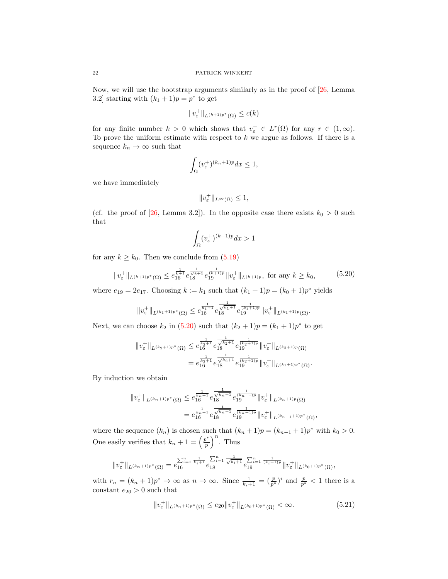Now, we will use the bootstrap arguments similarly as in the proof of [\[26,](#page-29-16) Lemma 3.2] starting with  $(k_1 + 1)p = p^*$  to get

$$
||v_{\varepsilon}^{+}||_{L^{(k+1)p^{*}}(\Omega)} \leq c(k)
$$

for any finite number  $k > 0$  which shows that  $v_{\varepsilon}^+ \in L^r(\Omega)$  for any  $r \in (1, \infty)$ . To prove the uniform estimate with respect to  $k$  we argue as follows. If there is a sequence  $k_n \to \infty$  such that

$$
\int_{\Omega} (v_{\varepsilon}^{+})^{(k_{n}+1)p} dx \le 1,
$$

we have immediately

$$
||v_{\varepsilon}^{+}||_{L^{\infty}(\Omega)} \leq 1,
$$

(cf. the proof of [\[26,](#page-29-16) Lemma 3.2]). In the opposite case there exists  $k_0 > 0$  such that

<span id="page-21-0"></span>
$$
\int_{\Omega} (v_{\varepsilon}^+)^{(k+1)p} dx > 1
$$

for any  $k \geq k_0$ . Then we conclude from  $(5.19)$ 

$$
||v_{\varepsilon}^{+}||_{L^{(k+1)p^{*}}(\Omega)} \leq e_{16}^{\frac{1}{k+1}} e_{18}^{\frac{1}{\sqrt{k+1}}} e_{19}^{\frac{1}{(k+1)p}} ||v_{\varepsilon}^{+}||_{L^{(k+1)p}}, \text{ for any } k \geq k_{0}, \quad (5.20)
$$

where  $e_{19} = 2e_{17}$ . Choosing  $k := k_1$  such that  $(k_1 + 1)p = (k_0 + 1)p^*$  yields

$$
||v_{\varepsilon}^{+}||_{L^{(k_{1}+1)p^{*}}(\Omega)} \leq e_{16}^{\frac{1}{k_{1}+1}} e_{18}^{\frac{1}{\sqrt{k_{1}+1}}} e_{19}^{\frac{1}{(k_{1}+1)p}} ||v_{\varepsilon}^{+}||_{L^{(k_{1}+1)p}(\Omega)}.
$$

Next, we can choose  $k_2$  in [\(5.20\)](#page-21-0) such that  $(k_2 + 1)p = (k_1 + 1)p^*$  to get

$$
||v_{\varepsilon}^{+}||_{L^{(k_{2}+1)p^{*}}(\Omega)} \leq e_{16}^{\frac{1}{k_{2}+1}} e_{18}^{\frac{1}{\sqrt{k_{2}+1}}} e_{19}^{\frac{1}{(k_{2}+1)p}} ||v_{\varepsilon}^{+}||_{L^{(k_{2}+1)p}(\Omega)}
$$
  

$$
= e_{16}^{\frac{1}{k_{2}+1}} e_{18}^{\frac{1}{\sqrt{k_{2}+1}}} e_{19}^{\frac{1}{(k_{2}+1)p}} ||v_{\varepsilon}^{+}||_{L^{(k_{1}+1)p^{*}}(\Omega)}.
$$

By induction we obtain

$$
||v_{\varepsilon}^{+}||_{L^{(k_{n}+1)p^{*}}(\Omega)} \leq e^{\frac{1}{k_{n}+1}}_{16} e^{\frac{1}{\sqrt{k_{n}+1}}} e^{\frac{1}{(k_{n}+1)p}}_{19} ||v_{\varepsilon}^{+}||_{L^{(k_{n}+1)p}(\Omega)}
$$
  

$$
= e^{\frac{1}{k_{n}+1}}_{16} e^{\frac{1}{\sqrt{k_{n}+1}}} e^{\frac{1}{(k_{n}+1)p}}_{19} ||v_{\varepsilon}^{+}||_{L^{(k_{n-1}+1)p^{*}}(\Omega)},
$$

where the sequence  $(k_n)$  is chosen such that  $(k_n + 1)p = (k_{n-1} + 1)p^*$  with  $k_0 > 0$ . One easily verifies that  $k_n + 1 = \left(\frac{p^*}{p}\right)^n$  $\left(\frac{p^*}{p}\right)^n$ . Thus

$$
||v_{\varepsilon}^{+}||_{L^{(k_{n}+1)p^{*}}(\Omega)} = e_{16}^{\sum_{i=1}^{n} \frac{1}{k_{i}+1}} e_{18}^{\sum_{i=1}^{n} \frac{1}{\sqrt{k_{i}+1}}} e_{19}^{\sum_{i=1}^{n} \frac{1}{(k_{i}+1)p}} ||v_{\varepsilon}^{+}||_{L^{(k_{0}+1)p^{*}}(\Omega)},
$$

with  $r_n = (k_n + 1)p^* \to \infty$  as  $n \to \infty$ . Since  $\frac{1}{k_i+1} = (\frac{p}{p^*})^i$  and  $\frac{p}{p^*} < 1$  there is a constant  $e_{20} > 0$  such that

<span id="page-21-1"></span>
$$
||v_{\varepsilon}^{+}||_{L^{(k_{n}+1)p^{*}}(\Omega)} \leq e_{20}||v_{\varepsilon}^{+}||_{L^{(k_{0}+1)p^{*}}(\Omega)} < \infty.
$$
\n(5.21)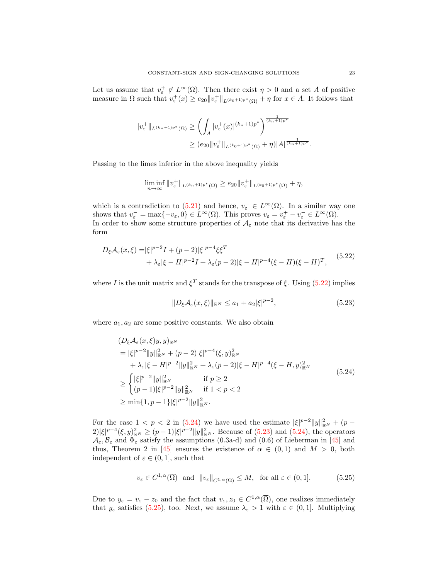Let us assume that  $v_{\varepsilon}^+ \notin L^{\infty}(\Omega)$ . Then there exist  $\eta > 0$  and a set A of positive measure in  $\Omega$  such that  $v_{\varepsilon}^+(x) \geq e_{20} \|v_{\varepsilon}^+\|_{L^{(k_0+1)p^*}(\Omega)} + \eta$  for  $x \in A$ . It follows that

$$
||v_{\varepsilon}^{+}||_{L^{(k_{n}+1)p^{*}}(\Omega)} \geq \left(\int_{A} |v_{\varepsilon}^{+}(x)|^{(k_{n}+1)p^{*}}\right)^{\frac{1}{(k_{n}+1)p^{*}}}
$$

$$
\geq (e_{20}||v_{\varepsilon}^{+}||_{L^{(k_{0}+1)p^{*}}(\Omega)} + \eta)|A|^{\frac{1}{(k_{n}+1)p^{*}}}.
$$

Passing to the limes inferior in the above inequality yields

$$
\liminf_{n\to\infty} \|v_{\varepsilon}^+\|_{L^{(k_n+1)p^*}(\Omega)} \geq e_{20} \|v_{\varepsilon}^+\|_{L^{(k_0+1)p^*}(\Omega)} + \eta,
$$

which is a contradiction to [\(5.21\)](#page-21-1) and hence,  $v_{\varepsilon}^+ \in L^{\infty}(\Omega)$ . In a similar way one shows that  $v_{\varepsilon}^- = \max\{-v_{\varepsilon}, 0\} \in L^{\infty}(\Omega)$ . This proves  $v_{\varepsilon} = v_{\varepsilon}^+ - v_{\varepsilon}^- \in L^{\infty}(\Omega)$ . In order to show some structure properties of  $\mathcal{A}_{\varepsilon}$  note that its derivative has the form

$$
D_{\xi}A_{\varepsilon}(x,\xi) = |\xi|^{p-2}I + (p-2)|\xi|^{p-4}\xi\xi^{T} + \lambda_{\varepsilon}|\xi - H|^{p-2}I + \lambda_{\varepsilon}(p-2)|\xi - H|^{p-4}(\xi - H)(\xi - H)^{T},
$$
 (5.22)

where I is the unit matrix and  $\xi^T$  stands for the transpose of  $\xi$ . Using [\(5.22\)](#page-22-0) implies

<span id="page-22-2"></span><span id="page-22-1"></span><span id="page-22-0"></span>
$$
||D_{\xi}\mathcal{A}_{\varepsilon}(x,\xi)||_{\mathbb{R}^N} \le a_1 + a_2 |\xi|^{p-2},\tag{5.23}
$$

where  $a_1, a_2$  are some positive constants. We also obtain

$$
(D_{\xi}A_{\varepsilon}(x,\xi)y,y)_{\mathbb{R}^{N}}
$$
\n
$$
= |\xi|^{p-2}||y||_{\mathbb{R}^{N}}^{2} + (p-2)|\xi|^{p-4}(\xi,y)_{\mathbb{R}^{N}}^{2}
$$
\n
$$
+ \lambda_{\varepsilon}|\xi - H|^{p-2}||y||_{\mathbb{R}^{N}}^{2} + \lambda_{\varepsilon}(p-2)|\xi - H|^{p-4}(\xi - H,y)_{\mathbb{R}^{N}}^{2}
$$
\n
$$
\geq \begin{cases} |\xi|^{p-2}||y||_{\mathbb{R}^{N}}^{2} & \text{if } p \geq 2\\ (p-1)|\xi|^{p-2}||y||_{\mathbb{R}^{N}}^{2} & \text{if } 1 < p < 2 \end{cases}
$$
\n
$$
\geq \min\{1, p-1\}|\xi|^{p-2}||y||_{\mathbb{R}^{N}}^{2}.
$$
\n(5.24)

For the case  $1 < p < 2$  in [\(5.24\)](#page-22-1) we have used the estimate  $|\xi|^{p-2} ||y||_{\mathbb{R}^N}^2 + (p-1)$  $2|\xi|^{p-4}(\xi,y)_{\mathbb{R}^N}^2 \ge (p-1)|\xi|^{p-2}||y||_{\mathbb{R}^N}^2$ . Because of [\(5.23\)](#page-22-2) and [\(5.24\)](#page-22-1), the operators  $\mathcal{A}_{\varepsilon}, \mathcal{B}_{\varepsilon}$  and  $\Phi_{\varepsilon}$  satisfy the assumptions (0.3a-d) and (0.6) of Lieberman in [\[45\]](#page-30-11) and thus, Theorem 2 in [\[45\]](#page-30-11) ensures the existence of  $\alpha \in (0,1)$  and  $M > 0$ , both independent of  $\varepsilon \in (0,1]$ , such that

<span id="page-22-3"></span>
$$
v_{\varepsilon} \in C^{1,\alpha}(\overline{\Omega}) \quad \text{and} \quad ||v_{\varepsilon}||_{C^{1,\alpha}(\overline{\Omega})} \le M, \quad \text{for all } \varepsilon \in (0,1]. \tag{5.25}
$$

Due to  $y_{\varepsilon} = v_{\varepsilon} - z_0$  and the fact that  $v_{\varepsilon}, z_0 \in C^{1,\alpha}(\overline{\Omega})$ , one realizes immediately that  $y_{\varepsilon}$  satisfies [\(5.25\)](#page-22-3), too. Next, we assume  $\lambda_{\varepsilon} > 1$  with  $\varepsilon \in (0, 1]$ . Multiplying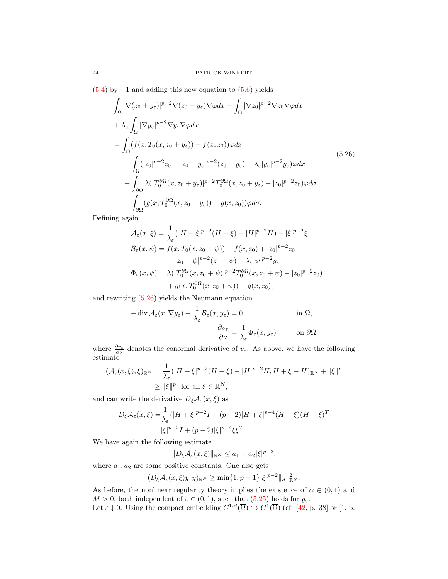$(5.4)$  by  $-1$  and adding this new equation to  $(5.6)$  yields

$$
\int_{\Omega} |\nabla(z_0 + y_{\varepsilon})|^{p-2} \nabla(z_0 + y_{\varepsilon}) \nabla \varphi dx - \int_{\Omega} |\nabla z_0|^{p-2} \nabla z_0 \nabla \varphi dx \n+ \lambda_{\varepsilon} \int_{\Omega} |\nabla y_{\varepsilon}|^{p-2} \nabla y_{\varepsilon} \nabla \varphi dx \n= \int_{\Omega} (f(x, T_0(x, z_0 + y_{\varepsilon})) - f(x, z_0)) \varphi dx \n+ \int_{\Omega} (|z_0|^{p-2} z_0 - |z_0 + y_{\varepsilon}|^{p-2} (z_0 + y_{\varepsilon}) - \lambda_{\varepsilon} |y_{\varepsilon}|^{p-2} y_{\varepsilon}) \varphi dx \n+ \int_{\partial \Omega} \lambda (|T_0^{\partial \Omega}(x, z_0 + y_{\varepsilon})|^{p-2} T_0^{\partial \Omega}(x, z_0 + y_{\varepsilon}) - |z_0|^{p-2} z_0) \varphi d\sigma \n+ \int_{\partial \Omega} (g(x, T_0^{\partial \Omega}(x, z_0 + y_{\varepsilon})) - g(x, z_0)) \varphi d\sigma.
$$
\n(5.26)

Defining again

<span id="page-23-0"></span>
$$
\mathcal{A}_{\varepsilon}(x,\xi) = \frac{1}{\lambda_{\varepsilon}}(|H + \xi|^{p-2}(H + \xi) - |H|^{p-2}H) + |\xi|^{p-2}\xi
$$
  

$$
-\mathcal{B}_{\varepsilon}(x,\psi) = f(x, T_0(x, z_0 + \psi)) - f(x, z_0) + |z_0|^{p-2}z_0
$$
  

$$
-|z_0 + \psi|^{p-2}(z_0 + \psi) - \lambda_{\varepsilon}|\psi|^{p-2}y_{\varepsilon}
$$
  

$$
\Phi_{\varepsilon}(x,\psi) = \lambda(|T_0^{\partial\Omega}(x, z_0 + \psi)|^{p-2}T_0^{\partial\Omega}(x, z_0 + \psi) - |z_0|^{p-2}z_0)
$$
  

$$
+ g(x, T_0^{\partial\Omega}(x, z_0 + \psi)) - g(x, z_0),
$$

and rewriting [\(5.26\)](#page-23-0) yields the Neumann equation

$$
-\operatorname{div} \mathcal{A}_{\varepsilon}(x, \nabla y_{\varepsilon}) + \frac{1}{\lambda_{\varepsilon}} \mathcal{B}_{\varepsilon}(x, y_{\varepsilon}) = 0 \qquad \text{in } \Omega,
$$

$$
\frac{\partial v_{\varepsilon}}{\partial \nu} = \frac{1}{\lambda_{\varepsilon}} \Phi_{\varepsilon}(x, y_{\varepsilon}) \qquad \text{on } \partial \Omega,
$$

where  $\frac{\partial v_{\varepsilon}}{\partial \nu}$  denotes the conormal derivative of  $v_{\varepsilon}$ . As above, we have the following estimate

$$
\begin{aligned} (\mathcal{A}_{\varepsilon}(x,\xi),\xi)_{\mathbb{R}^N} &= \frac{1}{\lambda_{\varepsilon}} (|H+\xi|^{p-2}(H+\xi) - |H|^{p-2}H, H+\xi - H)_{\mathbb{R}^N} + \|\xi\|^p \\ &\geq \|\xi\|^p \quad \text{for all } \xi \in \mathbb{R}^N, \end{aligned}
$$

and can write the derivative  $D_{\xi}\mathcal{A}_{\varepsilon}(x,\xi)$  as

$$
D_{\xi}A_{\varepsilon}(x,\xi) = \frac{1}{\lambda_{\varepsilon}}(|H+\xi|^{p-2}I + (p-2)|H+\xi|^{p-4}(H+\xi)(H+\xi)^{T}
$$
  

$$
|\xi|^{p-2}I + (p-2)|\xi|^{p-4}\xi\xi^{T}.
$$

We have again the following estimate

 $||D_{\xi}A_{\varepsilon}(x,\xi)||_{\mathbb{R}^N}\leq a_1+a_2|\xi|^{p-2},$ 

where  $a_1, a_2$  are some positive constants. One also gets

$$
(D_{\xi}\mathcal{A}_{\varepsilon}(x,\xi)y,y)_{\mathbb{R}^N}\geq \min\{1,p-1\}|\xi|^{p-2}\|y\|_{\mathbb{R}^N}^2.
$$

As before, the nonlinear regularity theory implies the existence of  $\alpha \in (0,1)$  and  $M > 0$ , both independent of  $\varepsilon \in (0, 1)$ , such that  $(5.25)$  holds for  $y_{\varepsilon}$ .

Let  $\varepsilon \downarrow 0$ . Using the compact embedding  $C^{1,\beta}(\overline{\Omega}) \hookrightarrow C^1(\overline{\Omega})$  (cf. [\[42,](#page-30-23) p. 38] or [\[1,](#page-28-10) p.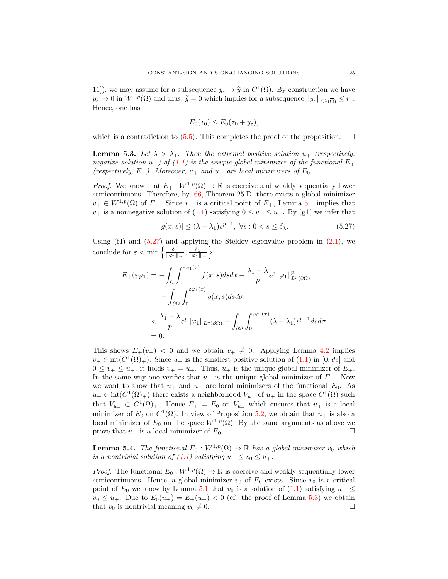11), we may assume for a subsequence  $y_{\varepsilon} \to \tilde{y}$  in  $C^1(\overline{\Omega})$ . By construction we have  $y_{\varepsilon} \to 0$  in  $W^{1,p}(\Omega)$  and thus,  $\widetilde{y} = 0$  which implies for a subsequence  $||y_{\varepsilon}||_{C^{1}(\overline{\Omega})} \leq r_{1}$ . Hence, one has

$$
E_0(z_0) \le E_0(z_0 + y_{\varepsilon}),
$$

which is a contradiction to [\(5.5\)](#page-15-2). This completes the proof of the proposition.  $\Box$ 

<span id="page-24-1"></span>**Lemma 5.3.** Let  $\lambda > \lambda_1$ . Then the extremal positive solution  $u_+$  (respectively, negative solution u<sub>-</sub>) of [\(1.1\)](#page-0-0) is the unique global minimizer of the functional  $E_+$ (respectively, E<sub>-</sub>). Moreover,  $u_+$  and  $u_-$  are local minimizers of  $E_0$ .

*Proof.* We know that  $E_+ : W^{1,p}(\Omega) \to \mathbb{R}$  is coercive and weakly sequentially lower semicontinuous. Therefore, by [\[66,](#page-31-5) Theorem 25.D] there exists a global minimizer  $v_+ \in W^{1,p}(\Omega)$  of  $E_+$ . Since  $v_+$  is a critical point of  $E_+$ , Lemma [5.1](#page-13-2) implies that  $v_{+}$  is a nonnegative solution of [\(1.1\)](#page-0-0) satisfying  $0 \le v_{+} \le u_{+}$ . By (g1) we infer that

<span id="page-24-0"></span>
$$
|g(x,s)| \le (\lambda - \lambda_1)s^{p-1}, \ \forall s : 0 < s \le \delta_\lambda. \tag{5.27}
$$

Using  $(f4)$  and  $(5.27)$  and applying the Steklov eigenvalue problem in  $(2.1)$ , we conclude for  $\varepsilon < \min \left\{ \frac{\delta_f}{\log n} \right\}$  $\frac{\delta_f}{\|\varphi_1\|_{\infty}}, \frac{\delta_\lambda}{\|\varphi_1\|_{\infty}}\bigg\}$ 

$$
E_{+}(\varepsilon \varphi_{1}) = -\int_{\Omega} \int_{0}^{\varepsilon \varphi_{1}(x)} f(x, s) ds dx + \frac{\lambda_{1} - \lambda}{p} \varepsilon^{p} ||\varphi_{1}||_{L^{p}(\partial \Omega)}^{p}
$$

$$
- \int_{\partial \Omega} \int_{0}^{\varepsilon \varphi_{1}(x)} g(x, s) ds d\sigma
$$

$$
< \frac{\lambda_{1} - \lambda}{p} \varepsilon^{p} ||\varphi_{1}||_{L^{p}(\partial \Omega)} + \int_{\partial \Omega} \int_{0}^{\varepsilon \varphi_{1}(x)} (\lambda - \lambda_{1}) s^{p-1} ds d\sigma
$$

$$
= 0.
$$

This shows  $E_+(v_+) < 0$  and we obtain  $v_+ \neq 0$ . Applying Lemma [4.2](#page-9-3) implies  $v_+ \in \text{int}(C^1(\overline{\Omega})_+)$ . Since  $u_+$  is the smallest positive solution of  $(1.1)$  in  $[0, \vartheta e]$  and  $0 \leq v_+ \leq u_+$ , it holds  $v_+ = u_+$ . Thus,  $u_+$  is the unique global minimizer of  $E_+$ . In the same way one verifies that  $u_-\$  is the unique global minimizer of  $E_-\$ . Now we want to show that  $u_+$  and  $u_-$  are local minimizers of the functional  $E_0$ . As  $u_+ \in \text{int}(C^1(\overline{\Omega})_+)$  there exists a neighborhood  $V_{u_+}$  of  $u_+$  in the space  $C^1(\overline{\Omega})$  such that  $V_{u_+} \subset C^1(\overline{\Omega})_+$ . Hence  $E_+ = E_0$  on  $V_{u_+}$  which ensures that  $u_+$  is a local minimizer of  $E_0$  on  $C^1(\overline{\Omega})$ . In view of Proposition [5.2,](#page-14-0) we obtain that  $u_+$  is also a local minimizer of  $E_0$  on the space  $W^{1,p}(\Omega)$ . By the same arguments as above we prove that  $u_-\$  is a local minimizer of  $E_0$ .  $\Box$ 

**Lemma 5.4.** The functional  $E_0 : W^{1,p}(\Omega) \to \mathbb{R}$  has a global minimizer  $v_0$  which is a nontrivial solution of  $(1.1)$  satisfying  $u_-\leq v_0\leq u_+$ .

*Proof.* The functional  $E_0 : W^{1,p}(\Omega) \to \mathbb{R}$  is coercive and weakly sequentially lower semicontinuous. Hence, a global minimizer  $v_0$  of  $E_0$  exists. Since  $v_0$  is a critical point of  $E_0$  we know by Lemma [5.1](#page-13-2) that  $v_0$  is a solution of [\(1.1\)](#page-0-0) satisfying  $u_-\leq$  $v_0 \leq u_+$ . Due to  $E_0(u_+) = E_+(u_+) < 0$  (cf. the proof of Lemma [5.3\)](#page-24-1) we obtain that  $v_0$  is nontrivial meaning  $v_0 \neq 0$ .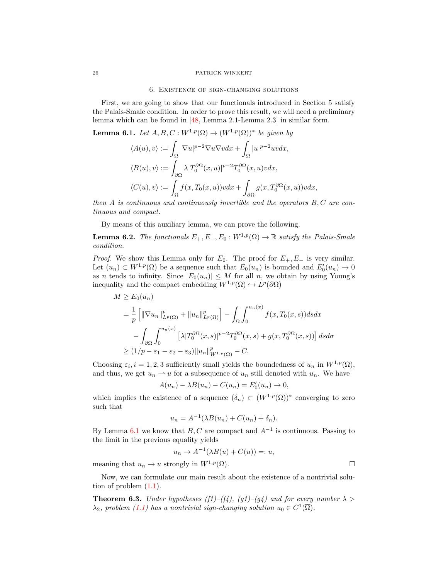#### 6. Existence of sign-changing solutions

First, we are going to show that our functionals introduced in Section 5 satisfy the Palais-Smale condition. In order to prove this result, we will need a preliminary lemma which can be found in [\[48,](#page-30-3) Lemma 2.1-Lemma 2.3] in similar form.

<span id="page-25-1"></span>**Lemma 6.1.** Let  $A, B, C : W^{1,p}(\Omega) \to (W^{1,p}(\Omega))^*$  be given by

$$
\langle A(u), v \rangle := \int_{\Omega} |\nabla u|^{p-2} \nabla u \nabla v dx + \int_{\Omega} |u|^{p-2} uv dx,
$$
  

$$
\langle B(u), v \rangle := \int_{\partial \Omega} \lambda |T_0^{\partial \Omega}(x, u)|^{p-2} T_0^{\partial \Omega}(x, u) v dx,
$$
  

$$
\langle C(u), v \rangle := \int_{\Omega} f(x, T_0(x, u)) v dx + \int_{\partial \Omega} g(x, T_0^{\partial \Omega}(x, u)) v dx,
$$

then  $A$  is continuous and continuously invertible and the operators  $B, C$  are continuous and compact.

By means of this auxiliary lemma, we can prove the following.

<span id="page-25-2"></span>**Lemma 6.2.** The functionals  $E_+, E_-, E_0 : W^{1,p}(\Omega) \to \mathbb{R}$  satisfy the Palais-Smale condition.

*Proof.* We show this Lemma only for  $E_0$ . The proof for  $E_+, E_-$  is very similar. Let  $(u_n) \subset W^{1,p}(\Omega)$  be a sequence such that  $E_0(u_n)$  is bounded and  $E'_0(u_n) \to 0$ as *n* tends to infinity. Since  $|E_0(u_n)| \leq M$  for all *n*, we obtain by using Young's inequality and the compact embedding  $W^{1,p}(\Omega) \hookrightarrow L^p(\partial\Omega)$ 

$$
M \ge E_0(u_n)
$$
  
=  $\frac{1}{p} \left[ \|\nabla u_n\|_{L^p(\Omega)}^p + \|u_n\|_{L^p(\Omega)}^p \right] - \int_{\Omega} \int_0^{u_n(x)} f(x, T_0(x, s)) ds dx$   
 $- \int_{\partial \Omega} \int_0^{u_n(x)} \left[ \lambda |T_0^{\partial \Omega}(x, s)|^{p-2} T_0^{\partial \Omega}(x, s) + g(x, T_0^{\partial \Omega}(x, s)) \right] ds d\sigma$   
 $\ge (1/p - \varepsilon_1 - \varepsilon_2 - \varepsilon_3) ||u_n||_{W^{1, p}(\Omega)}^p - C.$ 

Choosing  $\varepsilon_i$ ,  $i = 1, 2, 3$  sufficiently small yields the boundedness of  $u_n$  in  $W^{1,p}(\Omega)$ , and thus, we get  $u_n \rightharpoonup u$  for a subsequence of  $u_n$  still denoted with  $u_n$ . We have

$$
A(u_n) - \lambda B(u_n) - C(u_n) = E'_0(u_n) \to 0,
$$

which implies the existence of a sequence  $(\delta_n) \subset (W^{1,p}(\Omega))^*$  converging to zero such that

$$
u_n = A^{-1}(\lambda B(u_n) + C(u_n) + \delta_n).
$$

By Lemma [6.1](#page-25-1) we know that  $B, C$  are compact and  $A^{-1}$  is continuous. Passing to the limit in the previous equality yields

$$
u_n \to A^{-1}(\lambda B(u) + C(u)) =: u,
$$

meaning that  $u_n \to u$  strongly in  $W^{1,p}(\Omega)$ .

Now, we can formulate our main result about the existence of a nontrivial solution of problem  $(1.1)$ .

<span id="page-25-0"></span>**Theorem 6.3.** Under hypotheses (f1)–(f4), (g1)–(g4) and for every number  $\lambda$  $\lambda_2$ , problem [\(1.1\)](#page-0-0) has a nontrivial sign-changing solution  $u_0 \in C^1(\overline{\Omega})$ .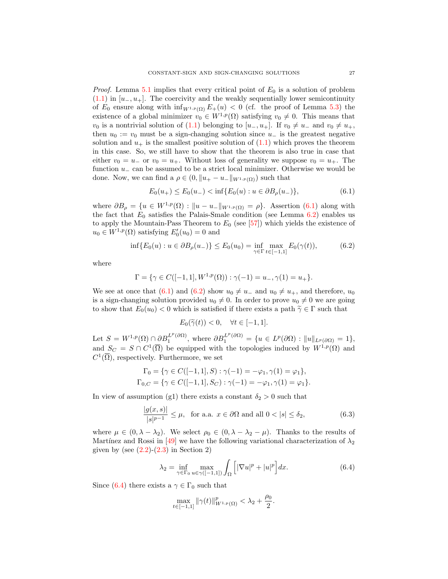*Proof.* Lemma [5.1](#page-13-2) implies that every critical point of  $E_0$  is a solution of problem  $(1.1)$  in  $[u_-, u_+]$ . The coercivity and the weakly sequentially lower semicontinuity of  $E_0$  ensure along with  $\inf_{W^{1,p}(\Omega)} E_+(u) < 0$  (cf. the proof of Lemma [5.3\)](#page-24-1) the existence of a global minimizer  $v_0 \in W^{1,p}(\Omega)$  satisfying  $v_0 \neq 0$ . This means that  $v_0$  is a nontrivial solution of [\(1.1\)](#page-0-0) belonging to  $[u_-, u_+]$ . If  $v_0 \neq u_-$  and  $v_0 \neq u_+$ , then  $u_0 := v_0$  must be a sign-changing solution since  $u_-\,$  is the greatest negative solution and  $u_+$  is the smallest positive solution of  $(1.1)$  which proves the theorem in this case. So, we still have to show that the theorem is also true in case that either  $v_0 = u_-$  or  $v_0 = u_+$ . Without loss of generality we suppose  $v_0 = u_+$ . The function u<sup>−</sup> can be assumed to be a strict local minimizer. Otherwise we would be done. Now, we can find a  $\rho \in (0, \|u_+ - u_-\|_{W^{1,p}(\Omega)})$  such that

<span id="page-26-0"></span>
$$
E_0(u_+) \le E_0(u_-) < \inf\{E_0(u) : u \in \partial B_\rho(u_-)\},\tag{6.1}
$$

where  $\partial B_{\rho} = \{u \in W^{1,p}(\Omega) : ||u - u_-||_{W^{1,p}(\Omega)} = \rho\}$ . Assertion [\(6.1\)](#page-26-0) along with the fact that  $E_0$  satisfies the Palais-Smale condition (see Lemma [6.2\)](#page-25-2) enables us to apply the Mountain-Pass Theorem to  $E_0$  (see [\[57\]](#page-30-24)) which yields the existence of  $u_0 \in W^{1,p}(\Omega)$  satisfying  $E'_0(u_0) = 0$  and

$$
\inf \{ E_0(u) : u \in \partial B_\rho(u_-) \} \le E_0(u_0) = \inf_{\gamma \in \Gamma} \max_{t \in [-1,1]} E_0(\gamma(t)), \tag{6.2}
$$

where

$$
\Gamma = \{ \gamma \in C([-1, 1], W^{1, p}(\Omega)) : \gamma(-1) = u_-, \gamma(1) = u_+ \}.
$$

We see at once that [\(6.1\)](#page-26-0) and [\(6.2\)](#page-26-1) show  $u_0 \neq u_-$  and  $u_0 \neq u_+$ , and therefore,  $u_0$ is a sign-changing solution provided  $u_0 \neq 0$ . In order to prove  $u_0 \neq 0$  we are going to show that  $E_0(u_0) < 0$  which is satisfied if there exists a path  $\tilde{\gamma} \in \Gamma$  such that

<span id="page-26-3"></span><span id="page-26-1"></span>
$$
E_0(\widetilde{\gamma}(t)) < 0, \quad \forall t \in [-1, 1].
$$

Let  $S = W^{1,p}(\Omega) \cap \partial B_1^{L^p(\partial \Omega)}$ , where  $\partial B_1^{L^p(\partial \Omega)} = \{u \in L^p(\partial \Omega) : ||u||_{L^p(\partial \Omega)} = 1\}$ , and  $S_C = S \cap C^1(\overline{\Omega})$  be equipped with the topologies induced by  $W^{1,p}(\Omega)$  and  $C^1(\overline{\Omega})$ , respectively. Furthermore, we set

$$
\Gamma_0 = \{ \gamma \in C([-1, 1], S) : \gamma(-1) = -\varphi_1, \gamma(1) = \varphi_1 \},
$$
  
\n
$$
\Gamma_{0,C} = \{ \gamma \in C([-1, 1], S_C) : \gamma(-1) = -\varphi_1, \gamma(1) = \varphi_1 \}.
$$

In view of assumption (g1) there exists a constant  $\delta_2 > 0$  such that

$$
\frac{|g(x,s)|}{|s|^{p-1}} \le \mu, \text{ for a.a. } x \in \partial\Omega \text{ and all } 0 < |s| \le \delta_2,
$$
 (6.3)

where  $\mu \in (0, \lambda - \lambda_2)$ . We select  $\rho_0 \in (0, \lambda - \lambda_2 - \mu)$ . Thanks to the results of Martínez and Rossi in [\[49\]](#page-30-1) we have the following variational characterization of  $\lambda_2$ given by (see  $(2.2)-(2.3)$  $(2.2)-(2.3)$  in Section 2)

$$
\lambda_2 = \inf_{\gamma \in \Gamma_0} \max_{u \in \gamma([-1,1])} \int_{\Omega} \left[ |\nabla u|^p + |u|^p \right] dx. \tag{6.4}
$$

Since [\(6.4\)](#page-26-2) there exists a  $\gamma \in \Gamma_0$  such that

<span id="page-26-2"></span>
$$
\max_{t \in [-1,1]} \|\gamma(t)\|_{W^{1,p}(\Omega)}^p < \lambda_2 + \frac{\rho_0}{2}.
$$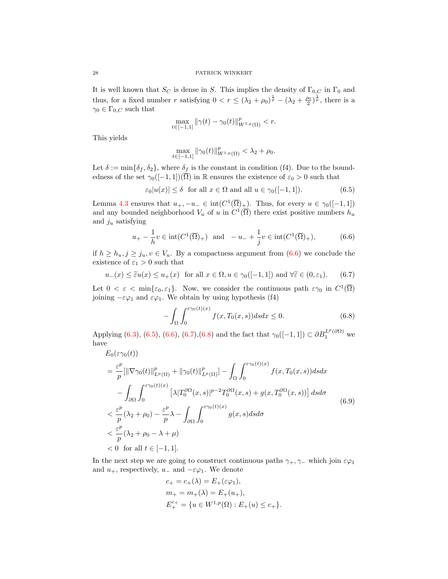It is well known that  $S_C$  is dense in S. This implies the density of  $\Gamma_{0,C}$  in  $\Gamma_0$  and thus, for a fixed number r satisfying  $0 < r \leq (\lambda_2 + \rho_0)^{\frac{1}{p}} - (\lambda_2 + \frac{\rho_0}{2})^{\frac{1}{p}}$ , there is a  $\gamma_0 \in \Gamma_{0,C}$  such that

$$
\max_{t \in [-1,1]} \|\gamma(t) - \gamma_0(t)\|_{W^{1,p}(\Omega)}^p < r.
$$

This yields

<span id="page-27-1"></span><span id="page-27-0"></span>
$$
\max_{t \in [-1,1]} \|\gamma_0(t)\|_{W^{1,p}(\Omega)}^p < \lambda_2 + \rho_0.
$$

Let  $\delta := \min{\delta_f, \delta_2}$ , where  $\delta_f$  is the constant in condition (f4). Due to the boundedness of the set  $\gamma_0([-1,1])(\overline{\Omega})$  in R ensures the existence of  $\varepsilon_0 > 0$  such that

$$
\varepsilon_0|u(x)| \le \delta \quad \text{for all } x \in \Omega \text{ and all } u \in \gamma_0([-1, 1]).\tag{6.5}
$$

Lemma [4.3](#page-9-0) ensures that  $u_+$ ,  $-u_- \in \text{int}(C^1(\overline{\Omega})_+)$ . Thus, for every  $u \in \gamma_0([-1,1])$ and any bounded neighborhood  $V_u$  of u in  $C^1(\overline{\Omega})$  there exist positive numbers  $h_u$ and  $j_u$  satisfying

$$
u_{+} - \frac{1}{h}v \in \text{int}(C^{1}(\overline{\Omega})_{+}) \text{ and } -u_{-} + \frac{1}{j}v \in \text{int}(C^{1}(\overline{\Omega})_{+}),
$$
 (6.6)

if  $h \geq h_u, j \geq j_u, v \in V_u$ . By a compactness argument from  $(6.6)$  we conclude the existence of  $\varepsilon_1 > 0$  such that

$$
u_{-}(x) \le \tilde{\varepsilon}u(x) \le u_{+}(x) \quad \text{for all } x \in \Omega, u \in \gamma_{0}([-1, 1]) \text{ and } \forall \tilde{\varepsilon} \in (0, \varepsilon_{1}).\tag{6.7}
$$

Let  $0 < \varepsilon < \min\{\varepsilon_0, \varepsilon_1\}$ . Now, we consider the continuous path  $\varepsilon\gamma_0$  in  $C^1(\overline{\Omega})$ joining  $-\varepsilon\varphi_1$  and  $\varepsilon\varphi_1$ . We obtain by using hypothesis (f4)

<span id="page-27-3"></span><span id="page-27-2"></span>
$$
-\int_{\Omega} \int_0^{\varepsilon \gamma_0(t)(x)} f(x, T_0(x, s)) ds dx \le 0.
$$
 (6.8)

Applying [\(6.3\)](#page-26-3), [\(6.5\)](#page-27-1), [\(6.6\)](#page-27-0), [\(6.7\)](#page-27-2), [\(6.8\)](#page-27-3) and the fact that  $\gamma_0([-1,1]) \subset \partial B_1^{L^p(\partial\Omega)}$  we have

$$
E_0(\varepsilon \gamma_0(t))
$$
  
\n
$$
= \frac{\varepsilon^p}{p} [\|\nabla \gamma_0(t)\|_{L^p(\Omega)}^p + \|\gamma_0(t)\|_{L^p(\Omega)}^p] - \int_{\Omega} \int_0^{\varepsilon \gamma_0(t)(x)} f(x, T_0(x, s)) ds dx
$$
  
\n
$$
- \int_{\partial \Omega} \int_0^{\varepsilon \gamma_0(t)(x)} [\lambda] T_0^{\partial \Omega}(x, s)|^{p-2} T_0^{\partial \Omega}(x, s) + g(x, T_0^{\partial \Omega}(x, s))] ds d\sigma
$$
  
\n
$$
< \frac{\varepsilon^p}{p} (\lambda_2 + \rho_0) - \frac{\varepsilon^p}{p} \lambda - \int_{\partial \Omega} \int_0^{\varepsilon \gamma_0(t)(x)} g(x, s) ds d\sigma
$$
  
\n
$$
< \frac{\varepsilon^p}{p} (\lambda_2 + \rho_0 - \lambda + \mu)
$$
  
\n
$$
< 0 \text{ for all } t \in [-1, 1].
$$
 (6.9)

In the next step we are going to construct continuous paths  $\gamma_+$ ,  $\gamma_-$  which join  $\varepsilon\varphi_1$ and  $u_+$ , respectively,  $u_-$  and  $-\varepsilon\varphi_1$ . We denote

<span id="page-27-4"></span>
$$
c_{+} = c_{+}(\lambda) = E_{+}(\varepsilon \varphi_{1}),
$$
  
\n
$$
m_{+} = m_{+}(\lambda) = E_{+}(u_{+}),
$$
  
\n
$$
E_{+}^{c_{+}} = \{u \in W^{1,p}(\Omega) : E_{+}(u) \le c_{+}\}.
$$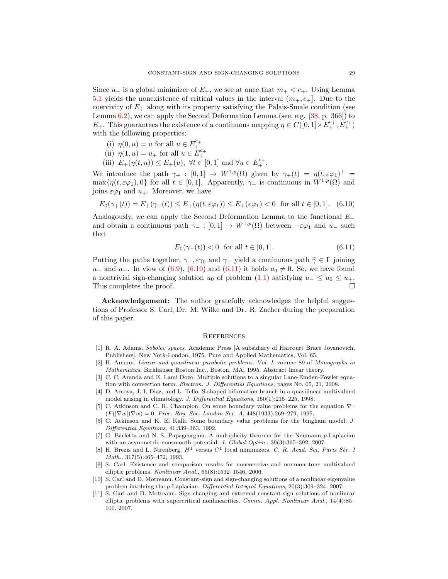Since  $u_+$  is a global minimizer of  $E_+$ , we see at once that  $m_+ < c_+$ . Using Lemma [5.1](#page-13-2) yields the nonexistence of critical values in the interval  $(m_+, c_+]$ . Due to the coercivity of  $E_{+}$  along with its property satisfying the Palais-Smale condition (see Lemma [6.2\)](#page-25-2), we can apply the Second Deformation Lemma (see, e.g. [\[38,](#page-30-25) p. 366]) to  $E_+$ . This guarantees the existence of a continuous mapping  $\eta \in C([0,1] \times E^{c_+}_+, E^{c_+}_+)$ with the following properties:

- 
- 
- (i)  $\eta(0, u) = u$  for all  $u \in E_{+}^{c_{+}}$ <br>
(ii)  $\eta(1, u) = u_{+}$  for all  $u \in E_{+}^{c_{+}}$ <br>
(iii)  $E_{+}(\eta(t, u)) \le E_{+}(u)$ ,  $\forall t \in [0, 1]$  and  $\forall u \in E_{+}^{c_{+}}$ .

We introduce the path  $\gamma_+ : [0,1] \to W^{1,p}(\Omega)$  given by  $\gamma_+(t) = \eta(t, \varepsilon \varphi_1)^+ =$  $\max\{\eta(t,\varepsilon\varphi_1),0\}$  for all  $t \in [0,1]$ . Apparently,  $\gamma_+$  is continuous in  $W^{1,p}(\Omega)$  and joins  $\varepsilon\varphi_1$  and  $u_+$ . Moreover, we have

$$
E_0(\gamma_+(t)) = E_+(\gamma_+(t)) \le E_+(\eta(t, \varepsilon \varphi_1)) \le E_+(\varepsilon \varphi_1) < 0 \text{ for all } t \in [0, 1]. \tag{6.10}
$$

Analogously, we can apply the Second Deformation Lemma to the functional E<sup>−</sup> and obtain a continuous path  $\gamma_- : [0,1] \to W^{1,p}(\Omega)$  between  $-\varepsilon\varphi_1$  and  $u_-$  such that

<span id="page-28-12"></span><span id="page-28-11"></span>
$$
E_0(\gamma_-(t)) < 0 \quad \text{for all } t \in [0, 1].\tag{6.11}
$$

Putting the paths together,  $\gamma_-, \varepsilon \gamma_0$  and  $\gamma_+$  yield a continuous path  $\widetilde{\gamma} \in \Gamma$  joining  $u_$  and  $u_+$ . In view of [\(6.9\)](#page-27-4), [\(6.10\)](#page-28-11) and [\(6.11\)](#page-28-12) it holds  $u_0 \neq 0$ . So, we have found a nontrivial sign-changing solution  $u_0$  of problem [\(1.1\)](#page-0-0) satisfying  $u_-\leq u_0\leq u_+$ . This completes the proof.

Acknowledgement: The author gratefully acknowledges the helpful suggestions of Professor S. Carl, Dr. M. Wilke and Dr. R. Zacher during the preparation of this paper.

#### **REFERENCES**

- <span id="page-28-10"></span>[1] R. A. Adams. Sobolev spaces. Academic Press [A subsidiary of Harcourt Brace Jovanovich, Publishers], New York-London, 1975. Pure and Applied Mathematics, Vol. 65.
- <span id="page-28-9"></span>[2] H. Amann. Linear and quasilinear parabolic problems. Vol. I, volume 89 of Monographs in Mathematics. Birkhäuser Boston Inc., Boston, MA, 1995. Abstract linear theory.
- <span id="page-28-3"></span>[3] C. C. Aranda and E. Lami Dozo. Multiple solutions to a singular Lane-Emden-Fowler equation with convection term. Electron. J. Differential Equations, pages No. 05, 21, 2008.
- <span id="page-28-0"></span>[4] D. Arcoya, J. I. Diaz, and L. Tello. S-shaped bifurcation branch in a quasilinear multivalued model arising in climatology. J. Differential Equations, 150(1):215–225, 1998.
- <span id="page-28-1"></span>[5] C. Atkinson and C. R. Champion. On some boundary value problems for the equation ∇ ·  $(F(|\nabla w|)\nabla w) = 0$ . Proc. Roy. Soc. London Ser. A, 448(1933):269–279, 1995.
- <span id="page-28-2"></span>[6] C. Atkinson and K. El Kalli. Some boundary value problems for the bingham model. J. Differential Equations, 41:339–363, 1992.
- <span id="page-28-8"></span>[7] G. Barletta and N. S. Papageorgiou. A multiplicity theorem for the Neumann p-Laplacian with an asymmetric nonsmooth potential. J. Global Optim., 39(3):365-392, 2007.
- <span id="page-28-7"></span>[8] H. Brezis and L. Nirenberg.  $H^1$  versus  $C^1$  local minimizers. C. R. Acad. Sci. Paris Sér. 1 Math., 317(5):465–472, 1993.
- <span id="page-28-6"></span>[9] S. Carl. Existence and comparison results for noncoercive and nonmonotone multivalued elliptic problems. Nonlinear Anal., 65(8):1532–1546, 2006.
- <span id="page-28-4"></span>[10] S. Carl and D. Motreanu. Constant-sign and sign-changing solutions of a nonlinear eigenvalue problem involving the p-Laplacian. Differential Integral Equations, 20(3):309–324, 2007.
- <span id="page-28-5"></span>[11] S. Carl and D. Motreanu. Sign-changing and extremal constant-sign solutions of nonlinear elliptic problems with supercritical nonlinearities. Comm. Appl. Nonlinear Anal., 14(4):85– 100, 2007.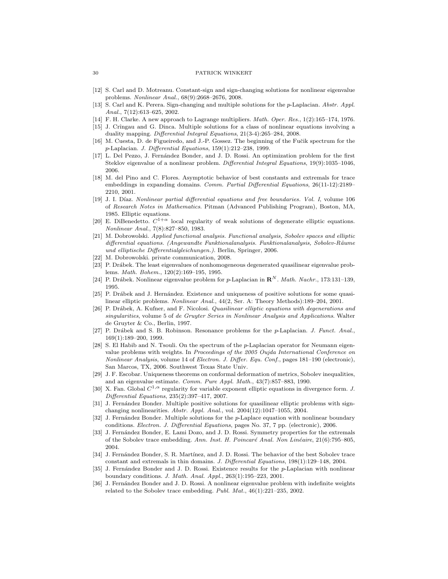- <span id="page-29-10"></span>[12] S. Carl and D. Motreanu. Constant-sign and sign-changing solutions for nonlinear eigenvalue problems. Nonlinear Anal., 68(9):2668–2676, 2008.
- <span id="page-29-11"></span>[13] S. Carl and K. Perera. Sign-changing and multiple solutions for the p-Laplacian. Abstr. Appl. Anal., 7(12):613–625, 2002.
- <span id="page-29-19"></span>[14] F. H. Clarke. A new approach to Lagrange multipliers. Math. Oper. Res., 1(2):165-174, 1976.
- <span id="page-29-13"></span>[15] J. Crîngau and G. Dinca. Multiple solutions for a class of nonlinear equations involving a duality mapping. Differential Integral Equations, 21(3-4):265–284, 2008.
- <span id="page-29-14"></span>[16] M. Cuesta, D. de Figueiredo, and J.-P. Gossez. The beginning of the Fučik spectrum for the p-Laplacian. J. Differential Equations, 159(1):212–238, 1999.
- <span id="page-29-7"></span>[17] L. Del Pezzo, J. Fernández Bonder, and J. D. Rossi. An optimization problem for the first Steklov eigenvalue of a nonlinear problem. Differential Integral Equations, 19(9):1035–1046, 2006.
- <span id="page-29-1"></span>[18] M. del Pino and C. Flores. Asymptotic behavior of best constants and extremals for trace embeddings in expanding domains. Comm. Partial Differential Equations, 26(11-12):2189– 2210, 2001.
- <span id="page-29-5"></span>[19] J. I. Díaz. Nonlinear partial differential equations and free boundaries. Vol. I, volume 106 of Research Notes in Mathematics. Pitman (Advanced Publishing Program), Boston, MA, 1985. Elliptic equations.
- <span id="page-29-17"></span>[20] E. DiBenedetto.  $C^{1+\alpha}$  local regularity of weak solutions of degenerate elliptic equations. Nonlinear Anal., 7(8):827–850, 1983.
- <span id="page-29-23"></span>[21] M. Dobrowolski. Applied functional analysis. Functional analysis, Sobolev spaces and elliptic  $differential$  equations. (Angewandte Funktionalanalysis. Funktionalanalysis, Sobolev-Räume und elliptische Differentialgleichungen.). Berlin, Springer, 2006.
- <span id="page-29-24"></span>[22] M. Dobrowolski. private communication, 2008.
- <span id="page-29-20"></span>[23] P. Drábek. The least eigenvalues of nonhomogeneous degenerated quasilinear eigenvalue problems. Math. Bohem., 120(2):169–195, 1995.
- <span id="page-29-21"></span>[24] P. Drábek. Nonlinear eigenvalue problem for p-Laplacian in  $\mathbb{R}^N$ . Math. Nachr., 173:131–139, 1995.
- <span id="page-29-22"></span>[25] P. Drábek and J. Hernández. Existence and uniqueness of positive solutions for some quasilinear elliptic problems. Nonlinear Anal., 44(2, Ser. A: Theory Methods):189–204, 2001.
- <span id="page-29-16"></span>[26] P. Drábek, A. Kufner, and F. Nicolosi. Quasilinear elliptic equations with degenerations and singularities, volume 5 of de Gruyter Series in Nonlinear Analysis and Applications. Walter de Gruyter & Co., Berlin, 1997.
- <span id="page-29-12"></span>[27] P. Drábek and S. B. Robinson. Resonance problems for the p-Laplacian. J. Funct. Anal., 169(1):189–200, 1999.
- <span id="page-29-15"></span>[28] S. El Habib and N. Tsouli. On the spectrum of the p-Laplacian operator for Neumann eigenvalue problems with weights. In Proceedings of the 2005 Oujda International Conference on Nonlinear Analysis, volume 14 of Electron. J. Differ. Equ. Conf., pages 181–190 (electronic), San Marcos, TX, 2006. Southwest Texas State Univ.
- <span id="page-29-0"></span>[29] J. F. Escobar. Uniqueness theorems on conformal deformation of metrics, Sobolev inequalities, and an eigenvalue estimate. Comm. Pure Appl. Math., 43(7):857–883, 1990.
- <span id="page-29-18"></span>[30] X. Fan. Global  $C^{1,\alpha}$  regularity for variable exponent elliptic equations in divergence form. J. Differential Equations, 235(2):397–417, 2007.
- <span id="page-29-8"></span>[31] J. Fernández Bonder. Multiple positive solutions for quasilinear elliptic problems with signchanging nonlinearities. Abstr. Appl. Anal., vol. 2004(12):1047–1055, 2004.
- <span id="page-29-2"></span>[32] J. Fernández Bonder. Multiple solutions for the p-Laplace equation with nonlinear boundary conditions. Electron. J. Differential Equations, pages No. 37, 7 pp. (electronic), 2006.
- <span id="page-29-3"></span>[33] J. Fernández Bonder, E. Lami Dozo, and J. D. Rossi. Symmetry properties for the extremals of the Sobolev trace embedding. Ann. Inst. H. Poincaré Anal. Non Linéaire, 21(6):795–805, 2004.
- <span id="page-29-4"></span>[34] J. Fernández Bonder, S. R. Martínez, and J. D. Rossi. The behavior of the best Sobolev trace constant and extremals in thin domains. J. Differential Equations, 198(1):129–148, 2004.
- <span id="page-29-9"></span>[35] J. Fernández Bonder and J. D. Rossi. Existence results for the p-Laplacian with nonlinear boundary conditions. J. Math. Anal. Appl., 263(1):195–223, 2001.
- <span id="page-29-6"></span>[36] J. Fernández Bonder and J. D. Rossi. A nonlinear eigenvalue problem with indefinite weights related to the Sobolev trace embedding. Publ. Mat., 46(1):221–235, 2002.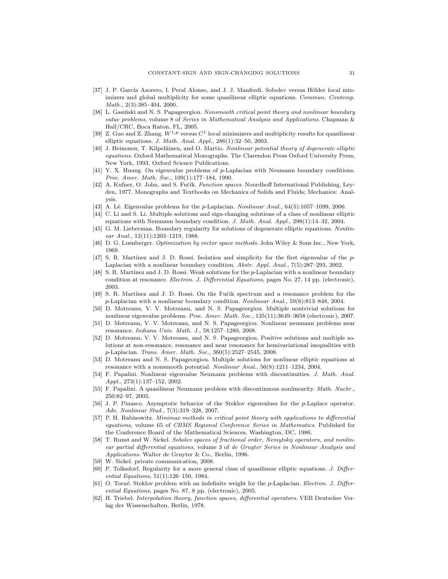- <span id="page-30-15"></span>[37] J. P. García Azorero, I. Peral Alonso, and J. J. Manfredi. Sobolev versus Hölder local minimizers and global multiplicity for some quasilinear elliptic equations. Commun. Contemp. Math., 2(3):385–404, 2000.
- <span id="page-30-25"></span>[38] L. Gasinski and N. S. Papageorgiou. Nonsmooth critical point theory and nonlinear boundary value problems, volume 8 of Series in Mathematical Analysis and Applications. Chapman & Hall/CRC, Boca Raton, FL, 2005.
- <span id="page-30-16"></span>[39] Z. Guo and Z. Zhang.  $W^{1,p}$  versus  $C^1$  local minimizers and multiplicity results for quasilinear elliptic equations. J. Math. Anal. Appl., 286(1):32–50, 2003.
- <span id="page-30-14"></span>[40] J. Heinonen, T. Kilpeläinen, and O. Martio. Nonlinear potential theory of degenerate elliptic equations. Oxford Mathematical Monographs. The Clarendon Press Oxford University Press, New York, 1993. Oxford Science Publications.
- <span id="page-30-12"></span>[41] Y. X. Huang. On eigenvalue problems of p-Laplacian with Neumann boundary conditions. Proc. Amer. Math. Soc., 109(1):177–184, 1990.
- <span id="page-30-23"></span>[42] A. Kufner, O. John, and S. Fučík. Function spaces. Noordhoff International Publishing, Leyden, 1977. Monographs and Textbooks on Mechanics of Solids and Fluids; Mechanics: Analysis.
- <span id="page-30-10"></span>[43] A. Lê. Eigenvalue problems for the  $p$ -Laplacian. Nonlinear Anal., 64(5):1057-1099, 2006.
- <span id="page-30-4"></span>[44] C. Li and S. Li. Multiple solutions and sign-changing solutions of a class of nonlinear elliptic equations with Neumann boundary condition. J. Math. Anal. Appl., 298(1):14–32, 2004.
- <span id="page-30-11"></span>[45] G. M. Lieberman. Boundary regularity for solutions of degenerate elliptic equations. Nonlinear Anal., 12(11):1203–1219, 1988.
- <span id="page-30-19"></span>[46] D. G. Luenberger. Optimization by vector space methods. John Wiley & Sons Inc., New York, 1969.
- <span id="page-30-9"></span> $[47]$  S. R. Martínez and J. D. Rossi. Isolation and simplicity for the first eigenvalue of the p-Laplacian with a nonlinear boundary condition. Abstr. Appl. Anal., 7(5):287–293, 2002.
- <span id="page-30-3"></span>[48] S. R. Martínez and J. D. Rossi. Weak solutions for the p-Laplacian with a nonlinear boundary condition at resonance. Electron. J. Differential Equations, pages No. 27, 14 pp. (electronic), 2003.
- <span id="page-30-1"></span>[49] S. R. Martínez and J. D. Rossi. On the Fučik spectrum and a resonance problem for the p-Laplacian with a nonlinear boundary condition. Nonlinear Anal., 59(6):813–848, 2004.
- <span id="page-30-7"></span>[50] D. Motreanu, V. V. Motreanu, and N. S. Papageorgiou. Multiple nontrivial solutions for nonlinear eigenvalue problems. *Proc. Amer. Math. Soc.*, 135(11):3649–3658 (electronic), 2007.
- <span id="page-30-17"></span>[51] D. Motreanu, V. V. Motreanu, and N. S. Papageorgiou. Nonlinear neumann problems near resonance. Indiana Univ. Math. J., 58:1257–1280, 2008.
- <span id="page-30-8"></span>[52] D. Motreanu, V. V. Motreanu, and N. S. Papageorgiou. Positive solutions and multiple solutions at non-resonance, resonance and near resonance for hemivariational inequalities with p-Laplacian. Trans. Amer. Math. Soc., 360(5):2527–2545, 2008.
- <span id="page-30-18"></span>[53] D. Motreanu and N. S. Papageorgiou. Multiple solutions for nonlinear elliptic equations at resonance with a nonsmooth potential. Nonlinear Anal., 56(8):1211–1234, 2004.
- <span id="page-30-5"></span>[54] F. Papalini. Nonlinear eigenvalue Neumann problems with discontinuities. J. Math. Anal. Appl., 273(1):137–152, 2002.
- <span id="page-30-6"></span>[55] F. Papalini. A quasilinear Neumann problem with discontinuous nonlinearity. Math. Nachr., 250:82–97, 2003.
- <span id="page-30-2"></span>[56] J. P. Pinasco. Asymptotic behavior of the Steklov eigenvalues for the p-Laplace operator. Adv. Nonlinear Stud., 7(3):319–328, 2007.
- <span id="page-30-24"></span>[57] P. H. Rabinowitz. Minimax methods in critical point theory with applications to differential equations, volume 65 of CBMS Regional Conference Series in Mathematics. Published for the Conference Board of the Mathematical Sciences, Washington, DC, 1986.
- <span id="page-30-20"></span>[58] T. Runst and W. Sickel. Sobolev spaces of fractional order, Nemytskij operators, and nonlinear partial differential equations, volume 3 of de Gruyter Series in Nonlinear Analysis and Applications. Walter de Gruyter & Co., Berlin, 1996.
- <span id="page-30-22"></span>[59] W. Sickel. private communication, 2008.
- <span id="page-30-0"></span>[60] P. Tolksdorf. Regularity for a more general class of quasilinear elliptic equations. J. Differential Equations, 51(1):126–150, 1984.
- <span id="page-30-13"></span>[61] O. Torné. Steklov problem with an indefinite weight for the p-Laplacian. Electron. J. Differential Equations, pages No. 87, 8 pp. (electronic), 2005.
- <span id="page-30-21"></span>[62] H. Triebel. Interpolation theory, function spaces, differential operators. VEB Deutscher Verlag der Wissenschaften, Berlin, 1978.